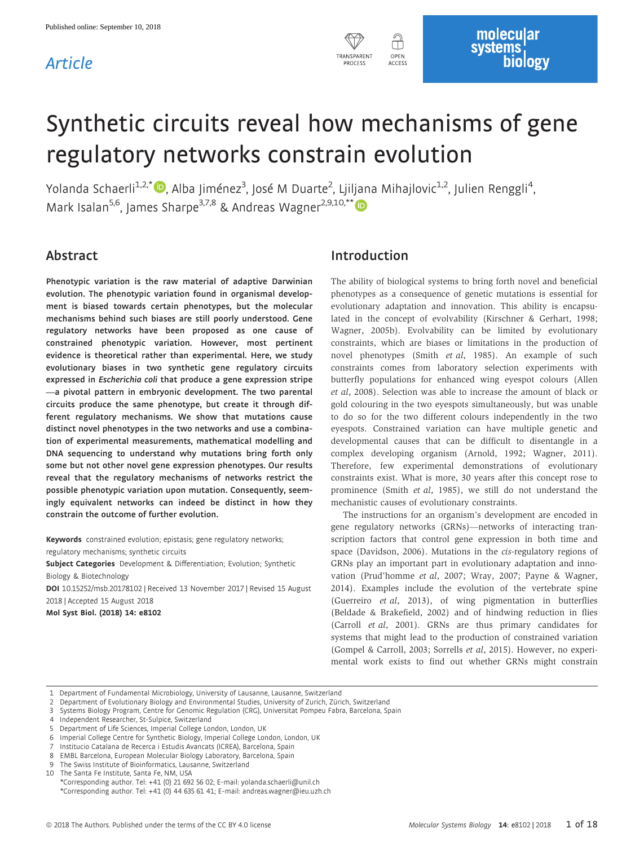## Article



# Synthetic circuits reveal how mechanisms of gene regulatory networks constrain evolution

Yolanda Schaerli<sup>1,2,[\\*](http://orcid.org/0000-0002-9083-7343)</sup> (D, Alba Jiménez<sup>3</sup>, José M Duarte<sup>2</sup>, Ljiljana Mihajlovic<sup>1,2</sup>, Julien Renggli<sup>4</sup> , Mark Isalan<sup>5,6</sup>, James Sharpe<sup>3,7,8</sup> & Andreas Wagner<sup>2,9,10,[\\*](http://orcid.org/0000-0003-4299-3840)\*</sup>

## Abstract

Phenotypic variation is the raw material of adaptive Darwinian evolution. The phenotypic variation found in organismal development is biased towards certain phenotypes, but the molecular mechanisms behind such biases are still poorly understood. Gene regulatory networks have been proposed as one cause of constrained phenotypic variation. However, most pertinent evidence is theoretical rather than experimental. Here, we study evolutionary biases in two synthetic gene regulatory circuits expressed in Escherichia coli that produce a gene expression stripe —a pivotal pattern in embryonic development. The two parental circuits produce the same phenotype, but create it through different regulatory mechanisms. We show that mutations cause distinct novel phenotypes in the two networks and use a combination of experimental measurements, mathematical modelling and DNA sequencing to understand why mutations bring forth only some but not other novel gene expression phenotypes. Our results reveal that the regulatory mechanisms of networks restrict the possible phenotypic variation upon mutation. Consequently, seemingly equivalent networks can indeed be distinct in how they constrain the outcome of further evolution.

Keywords constrained evolution; epistasis; gene regulatory networks; regulatory mechanisms; synthetic circuits

Subject Categories Development & Differentiation; Evolution; Synthetic

Biology & Biotechnology DOI 10.15252/msb.20178102 | Received 13 November 2017 | Revised 15 August

2018 | Accepted 15 August 2018

Mol Syst Biol. (2018) 14: e8102

## Introduction

The ability of biological systems to bring forth novel and beneficial phenotypes as a consequence of genetic mutations is essential for evolutionary adaptation and innovation. This ability is encapsulated in the concept of evolvability (Kirschner & Gerhart, 1998; Wagner, 2005b). Evolvability can be limited by evolutionary constraints, which are biases or limitations in the production of novel phenotypes (Smith et al, 1985). An example of such constraints comes from laboratory selection experiments with butterfly populations for enhanced wing eyespot colours (Allen et al, 2008). Selection was able to increase the amount of black or gold colouring in the two eyespots simultaneously, but was unable to do so for the two different colours independently in the two eyespots. Constrained variation can have multiple genetic and developmental causes that can be difficult to disentangle in a complex developing organism (Arnold, 1992; Wagner, 2011). Therefore, few experimental demonstrations of evolutionary constraints exist. What is more, 30 years after this concept rose to prominence (Smith et al, 1985), we still do not understand the mechanistic causes of evolutionary constraints.

The instructions for an organism's development are encoded in gene regulatory networks (GRNs)—networks of interacting transcription factors that control gene expression in both time and space (Davidson, 2006). Mutations in the cis-regulatory regions of GRNs play an important part in evolutionary adaptation and innovation (Prud'homme et al, 2007; Wray, 2007; Payne & Wagner, 2014). Examples include the evolution of the vertebrate spine (Guerreiro et al, 2013), of wing pigmentation in butterflies (Beldade & Brakefield, 2002) and of hindwing reduction in flies (Carroll et al, 2001). GRNs are thus primary candidates for systems that might lead to the production of constrained variation (Gompel & Carroll, 2003; Sorrells et al, 2015). However, no experimental work exists to find out whether GRNs might constrain

1 Department of Fundamental Microbiology, University of Lausanne, Lausanne, Switzerland

2 Department of Evolutionary Biology and Environmental Studies, University of Zurich, Zürich, Switzerland

3 Systems Biology Program, Centre for Genomic Regulation (CRG), Universitat Pompeu Fabra, Barcelona, Spain

4 Independent Researcher, St-Sulpice, Switzerland

5 Department of Life Sciences, Imperial College London, London, UK

6 Imperial College Centre for Synthetic Biology, Imperial College London, London, UK

Institucio Catalana de Recerca i Estudis Avancats (ICREA), Barcelona, Spain

8 EMBL Barcelona, European Molecular Biology Laboratory, Barcelona, Spain

9 The Swiss Institute of Bioinformatics, Lausanne, Switzerland

10 The Santa Fe Institute, Santa Fe, NM, USA

\*Corresponding author. Tel: +41 (0) 21 692 56 02; E-mail: yolanda.schaerli@unil.ch \*Corresponding author. Tel: +41 (0) 44 635 61 41; E-mail: andreas.wagner@ieu.uzh.ch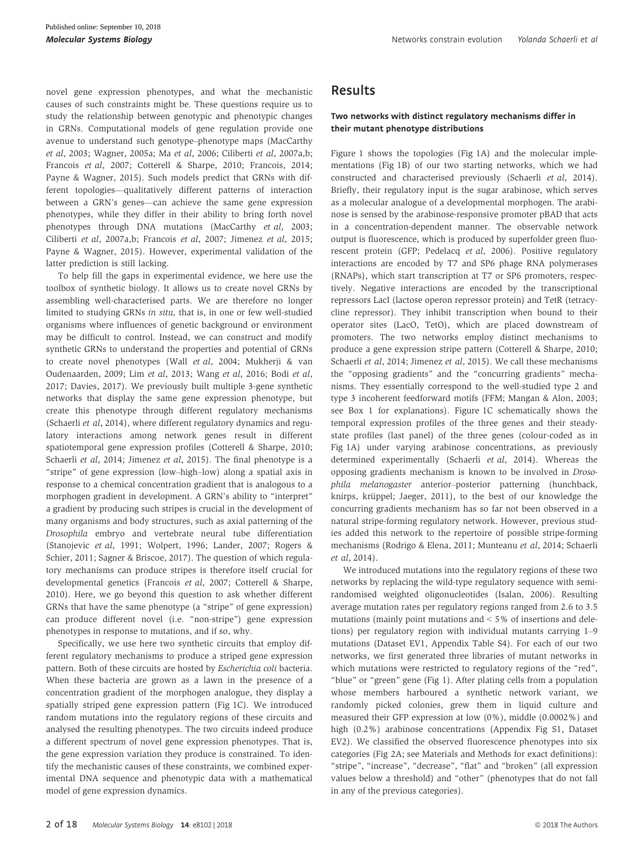novel gene expression phenotypes, and what the mechanistic causes of such constraints might be. These questions require us to study the relationship between genotypic and phenotypic changes in GRNs. Computational models of gene regulation provide one avenue to understand such genotype–phenotype maps (MacCarthy et al, 2003; Wagner, 2005a; Ma et al, 2006; Ciliberti et al, 2007a,b; Francois et al, 2007; Cotterell & Sharpe, 2010; Francois, 2014; Payne & Wagner, 2015). Such models predict that GRNs with different topologies—qualitatively different patterns of interaction between a GRN's genes—can achieve the same gene expression phenotypes, while they differ in their ability to bring forth novel phenotypes through DNA mutations (MacCarthy et al, 2003; Ciliberti et al, 2007a,b; Francois et al, 2007; Jimenez et al, 2015; Payne & Wagner, 2015). However, experimental validation of the latter prediction is still lacking.

To help fill the gaps in experimental evidence, we here use the toolbox of synthetic biology. It allows us to create novel GRNs by assembling well-characterised parts. We are therefore no longer limited to studying GRNs in situ, that is, in one or few well-studied organisms where influences of genetic background or environment may be difficult to control. Instead, we can construct and modify synthetic GRNs to understand the properties and potential of GRNs to create novel phenotypes (Wall et al, 2004; Mukherji & van Oudenaarden, 2009; Lim et al, 2013; Wang et al, 2016; Bodi et al, 2017; Davies, 2017). We previously built multiple 3-gene synthetic networks that display the same gene expression phenotype, but create this phenotype through different regulatory mechanisms (Schaerli et al, 2014), where different regulatory dynamics and regulatory interactions among network genes result in different spatiotemporal gene expression profiles (Cotterell & Sharpe, 2010; Schaerli et al, 2014; Jimenez et al, 2015). The final phenotype is a "stripe" of gene expression (low–high–low) along a spatial axis in response to a chemical concentration gradient that is analogous to a morphogen gradient in development. A GRN's ability to "interpret" a gradient by producing such stripes is crucial in the development of many organisms and body structures, such as axial patterning of the Drosophila embryo and vertebrate neural tube differentiation (Stanojevic et al, 1991; Wolpert, 1996; Lander, 2007; Rogers & Schier, 2011; Sagner & Briscoe, 2017). The question of which regulatory mechanisms can produce stripes is therefore itself crucial for developmental genetics (Francois et al, 2007; Cotterell & Sharpe, 2010). Here, we go beyond this question to ask whether different GRNs that have the same phenotype (a "stripe" of gene expression) can produce different novel (i.e. "non-stripe") gene expression phenotypes in response to mutations, and if so, why.

Specifically, we use here two synthetic circuits that employ different regulatory mechanisms to produce a striped gene expression pattern. Both of these circuits are hosted by Escherichia coli bacteria. When these bacteria are grown as a lawn in the presence of a concentration gradient of the morphogen analogue, they display a spatially striped gene expression pattern (Fig 1C). We introduced random mutations into the regulatory regions of these circuits and analysed the resulting phenotypes. The two circuits indeed produce a different spectrum of novel gene expression phenotypes. That is, the gene expression variation they produce is constrained. To identify the mechanistic causes of these constraints, we combined experimental DNA sequence and phenotypic data with a mathematical model of gene expression dynamics.

## Results

#### Two networks with distinct regulatory mechanisms differ in their mutant phenotype distributions

Figure 1 shows the topologies (Fig 1A) and the molecular implementations (Fig 1B) of our two starting networks, which we had constructed and characterised previously (Schaerli et al, 2014). Briefly, their regulatory input is the sugar arabinose, which serves as a molecular analogue of a developmental morphogen. The arabinose is sensed by the arabinose-responsive promoter pBAD that acts in a concentration-dependent manner. The observable network output is fluorescence, which is produced by superfolder green fluorescent protein (GFP; Pedelacq et al, 2006). Positive regulatory interactions are encoded by T7 and SP6 phage RNA polymerases (RNAPs), which start transcription at T7 or SP6 promoters, respectively. Negative interactions are encoded by the transcriptional repressors LacI (lactose operon repressor protein) and TetR (tetracycline repressor). They inhibit transcription when bound to their operator sites (LacO, TetO), which are placed downstream of promoters. The two networks employ distinct mechanisms to produce a gene expression stripe pattern (Cotterell & Sharpe, 2010; Schaerli et al, 2014; Jimenez et al, 2015). We call these mechanisms the "opposing gradients" and the "concurring gradients" mechanisms. They essentially correspond to the well-studied type 2 and type 3 incoherent feedforward motifs (FFM; Mangan & Alon, 2003; see Box 1 for explanations). Figure 1C schematically shows the temporal expression profiles of the three genes and their steadystate profiles (last panel) of the three genes (colour-coded as in Fig 1A) under varying arabinose concentrations, as previously determined experimentally (Schaerli et al, 2014). Whereas the opposing gradients mechanism is known to be involved in Drosophila melanogaster anterior–posterior patterning (hunchback, knirps, krüppel; Jaeger, 2011), to the best of our knowledge the concurring gradients mechanism has so far not been observed in a natural stripe-forming regulatory network. However, previous studies added this network to the repertoire of possible stripe-forming mechanisms (Rodrigo & Elena, 2011; Munteanu et al, 2014; Schaerli et al, 2014).

We introduced mutations into the regulatory regions of these two networks by replacing the wild-type regulatory sequence with semirandomised weighted oligonucleotides (Isalan, 2006). Resulting average mutation rates per regulatory regions ranged from 2.6 to 3.5 mutations (mainly point mutations and < 5% of insertions and deletions) per regulatory region with individual mutants carrying 1–9 mutations (Dataset EV1, Appendix Table S4). For each of our two networks, we first generated three libraries of mutant networks in which mutations were restricted to regulatory regions of the "red", "blue" or "green" gene (Fig 1). After plating cells from a population whose members harboured a synthetic network variant, we randomly picked colonies, grew them in liquid culture and measured their GFP expression at low (0%), middle (0.0002%) and high (0.2%) arabinose concentrations (Appendix Fig S1, Dataset EV2). We classified the observed fluorescence phenotypes into six categories (Fig 2A; see Materials and Methods for exact definitions): "stripe", "increase", "decrease", "flat" and "broken" (all expression values below a threshold) and "other" (phenotypes that do not fall in any of the previous categories).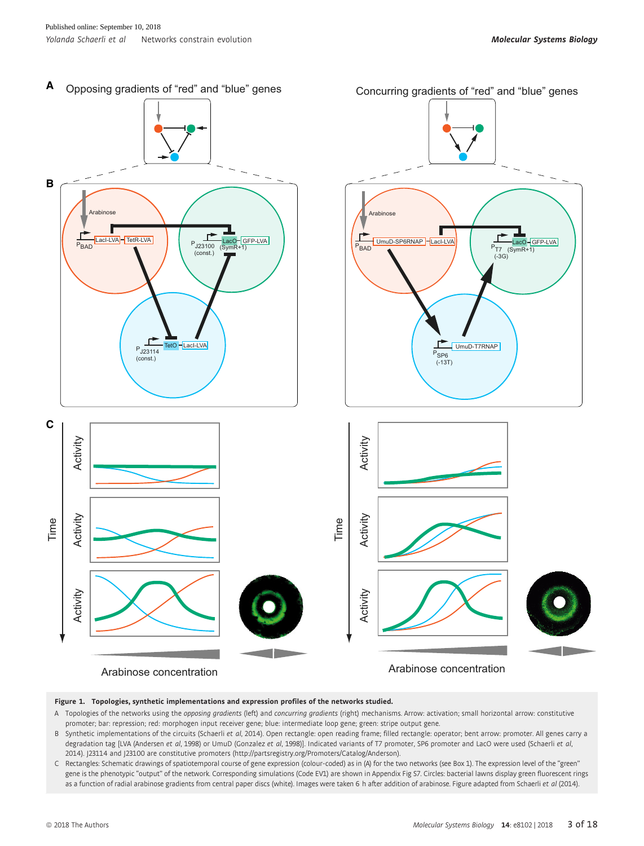

Figure 1. Topologies, synthetic implementations and expression profiles of the networks studied.

- A Topologies of the networks using the opposing gradients (left) and concurring gradients (right) mechanisms. Arrow: activation; small horizontal arrow: constitutive promoter; bar: repression; red: morphogen input receiver gene; blue: intermediate loop gene; green: stripe output gene.
- B Synthetic implementations of the circuits (Schaerli et al, 2014). Open rectangle: open reading frame; filled rectangle: operator; bent arrow: promoter. All genes carry a degradation tag [LVA (Andersen et al, 1998) or UmuD (Gonzalez et al, 1998)]. Indicated variants of T7 promoter, SP6 promoter and LacO were used (Schaerli et al, 2014). J23114 and J23100 are constitutive promoters [\(http://partsregistry.org/Promoters/Catalog/Anderson](http://partsregistry.org/Promoters/Catalog/Anderson)).
- C Rectangles: Schematic drawings of spatiotemporal course of gene expression (colour-coded) as in (A) for the two networks (see Box 1). The expression level of the "green" gene is the phenotypic "output" of the network. Corresponding simulations (Code EV1) are shown in Appendix Fig S7. Circles: bacterial lawns display green fluorescent rings as a function of radial arabinose gradients from central paper discs (white). Images were taken 6 h after addition of arabinose. Figure adapted from Schaerli et al (2014).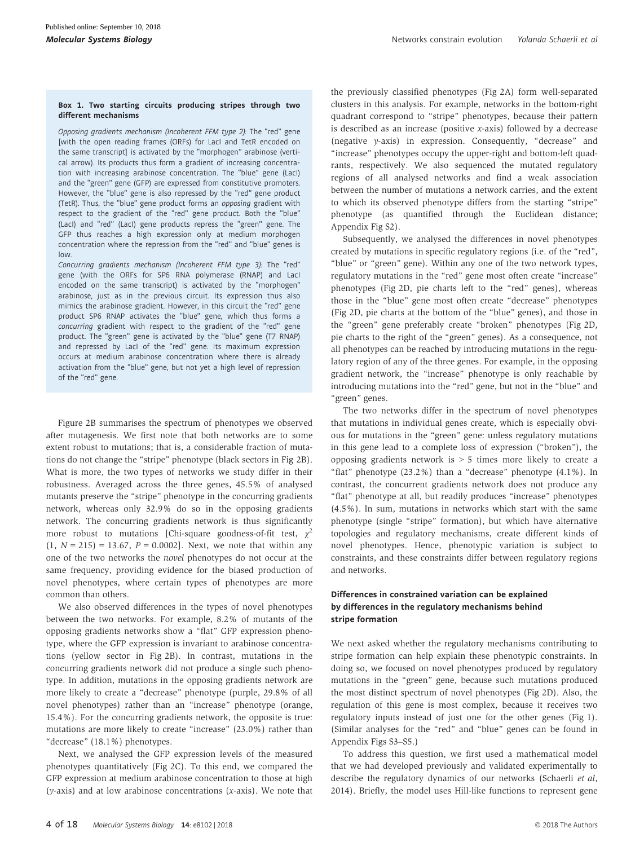#### Box 1. Two starting circuits producing stripes through two different mechanisms

Opposing gradients mechanism (Incoherent FFM type 2): The "red" gene [with the open reading frames (ORFs) for LacI and TetR encoded on the same transcript] is activated by the "morphogen" arabinose (vertical arrow). Its products thus form a gradient of increasing concentration with increasing arabinose concentration. The "blue" gene (LacI) and the "green" gene (GFP) are expressed from constitutive promoters. However, the "blue" gene is also repressed by the "red" gene product (TetR). Thus, the "blue" gene product forms an opposing gradient with respect to the gradient of the "red" gene product. Both the "blue" (LacI) and "red" (LacI) gene products repress the "green" gene. The GFP thus reaches a high expression only at medium morphogen concentration where the repression from the "red" and "blue" genes is low.

Concurring gradients mechanism (Incoherent FFM type 3): The "red" gene (with the ORFs for SP6 RNA polymerase (RNAP) and LacI encoded on the same transcript) is activated by the "morphogen" arabinose, just as in the previous circuit. Its expression thus also mimics the arabinose gradient. However, in this circuit the "red" gene product SP6 RNAP activates the "blue" gene, which thus forms a concurring gradient with respect to the gradient of the "red" gene product. The "green" gene is activated by the "blue" gene (T7 RNAP) and repressed by LacI of the "red" gene. Its maximum expression occurs at medium arabinose concentration where there is already activation from the "blue" gene, but not yet a high level of repression of the "red" gene.

Figure 2B summarises the spectrum of phenotypes we observed after mutagenesis. We first note that both networks are to some extent robust to mutations; that is, a considerable fraction of mutations do not change the "stripe" phenotype (black sectors in Fig 2B). What is more, the two types of networks we study differ in their robustness. Averaged across the three genes, 45.5% of analysed mutants preserve the "stripe" phenotype in the concurring gradients network, whereas only 32.9% do so in the opposing gradients network. The concurring gradients network is thus significantly more robust to mutations [Chi-square goodness-of-fit test,  $\chi^2$  $(1, N = 215) = 13.67$ ,  $P = 0.0002$ . Next, we note that within any one of the two networks the novel phenotypes do not occur at the same frequency, providing evidence for the biased production of novel phenotypes, where certain types of phenotypes are more common than others.

We also observed differences in the types of novel phenotypes between the two networks. For example, 8.2% of mutants of the opposing gradients networks show a "flat" GFP expression phenotype, where the GFP expression is invariant to arabinose concentrations (yellow sector in Fig 2B). In contrast, mutations in the concurring gradients network did not produce a single such phenotype. In addition, mutations in the opposing gradients network are more likely to create a "decrease" phenotype (purple, 29.8% of all novel phenotypes) rather than an "increase" phenotype (orange, 15.4%). For the concurring gradients network, the opposite is true: mutations are more likely to create "increase" (23.0%) rather than "decrease" (18.1%) phenotypes.

Next, we analysed the GFP expression levels of the measured phenotypes quantitatively (Fig 2C). To this end, we compared the GFP expression at medium arabinose concentration to those at high (y-axis) and at low arabinose concentrations (x-axis). We note that the previously classified phenotypes (Fig 2A) form well-separated clusters in this analysis. For example, networks in the bottom-right quadrant correspond to "stripe" phenotypes, because their pattern is described as an increase (positive  $x$ -axis) followed by a decrease (negative y-axis) in expression. Consequently, "decrease" and "increase" phenotypes occupy the upper-right and bottom-left quadrants, respectively. We also sequenced the mutated regulatory regions of all analysed networks and find a weak association between the number of mutations a network carries, and the extent to which its observed phenotype differs from the starting "stripe" phenotype (as quantified through the Euclidean distance; Appendix Fig S2).

Subsequently, we analysed the differences in novel phenotypes created by mutations in specific regulatory regions (i.e. of the "red", "blue" or "green" gene). Within any one of the two network types, regulatory mutations in the "red" gene most often create "increase" phenotypes (Fig 2D, pie charts left to the "red" genes), whereas those in the "blue" gene most often create "decrease" phenotypes (Fig 2D, pie charts at the bottom of the "blue" genes), and those in the "green" gene preferably create "broken" phenotypes (Fig 2D, pie charts to the right of the "green" genes). As a consequence, not all phenotypes can be reached by introducing mutations in the regulatory region of any of the three genes. For example, in the opposing gradient network, the "increase" phenotype is only reachable by introducing mutations into the "red" gene, but not in the "blue" and "green" genes.

The two networks differ in the spectrum of novel phenotypes that mutations in individual genes create, which is especially obvious for mutations in the "green" gene: unless regulatory mutations in this gene lead to a complete loss of expression ("broken"), the opposing gradients network is > 5 times more likely to create a "flat" phenotype (23.2%) than a "decrease" phenotype (4.1%). In contrast, the concurrent gradients network does not produce any "flat" phenotype at all, but readily produces "increase" phenotypes (4.5%). In sum, mutations in networks which start with the same phenotype (single "stripe" formation), but which have alternative topologies and regulatory mechanisms, create different kinds of novel phenotypes. Hence, phenotypic variation is subject to constraints, and these constraints differ between regulatory regions and networks.

#### Differences in constrained variation can be explained by differences in the regulatory mechanisms behind stripe formation

We next asked whether the regulatory mechanisms contributing to stripe formation can help explain these phenotypic constraints. In doing so, we focused on novel phenotypes produced by regulatory mutations in the "green" gene, because such mutations produced the most distinct spectrum of novel phenotypes (Fig 2D). Also, the regulation of this gene is most complex, because it receives two regulatory inputs instead of just one for the other genes (Fig 1). (Similar analyses for the "red" and "blue" genes can be found in Appendix Figs S3–S5.)

To address this question, we first used a mathematical model that we had developed previously and validated experimentally to describe the regulatory dynamics of our networks (Schaerli et al, 2014). Briefly, the model uses Hill-like functions to represent gene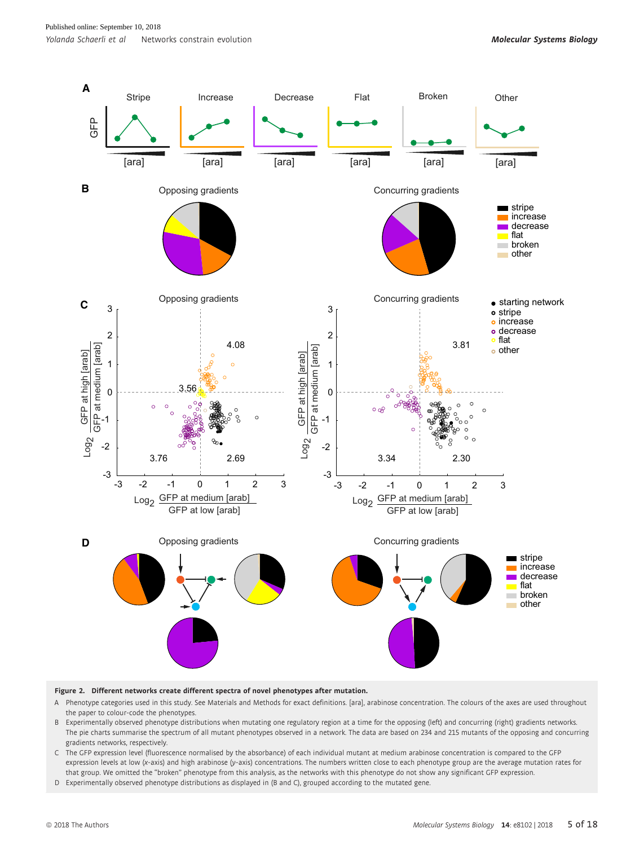

#### Figure 2. Different networks create different spectra of novel phenotypes after mutation.

- A Phenotype categories used in this study. See Materials and Methods for exact definitions. [ara], arabinose concentration. The colours of the axes are used throughout the paper to colour-code the phenotypes.
- B Experimentally observed phenotype distributions when mutating one regulatory region at a time for the opposing (left) and concurring (right) gradients networks. The pie charts summarise the spectrum of all mutant phenotypes observed in a network. The data are based on 234 and 215 mutants of the opposing and concurring gradients networks, respectively.
- C The GFP expression level (fluorescence normalised by the absorbance) of each individual mutant at medium arabinose concentration is compared to the GFP expression levels at low (x-axis) and high arabinose (y-axis) concentrations. The numbers written close to each phenotype group are the average mutation rates for that group. We omitted the "broken" phenotype from this analysis, as the networks with this phenotype do not show any significant GFP expression.
- D Experimentally observed phenotype distributions as displayed in (B and C), grouped according to the mutated gene.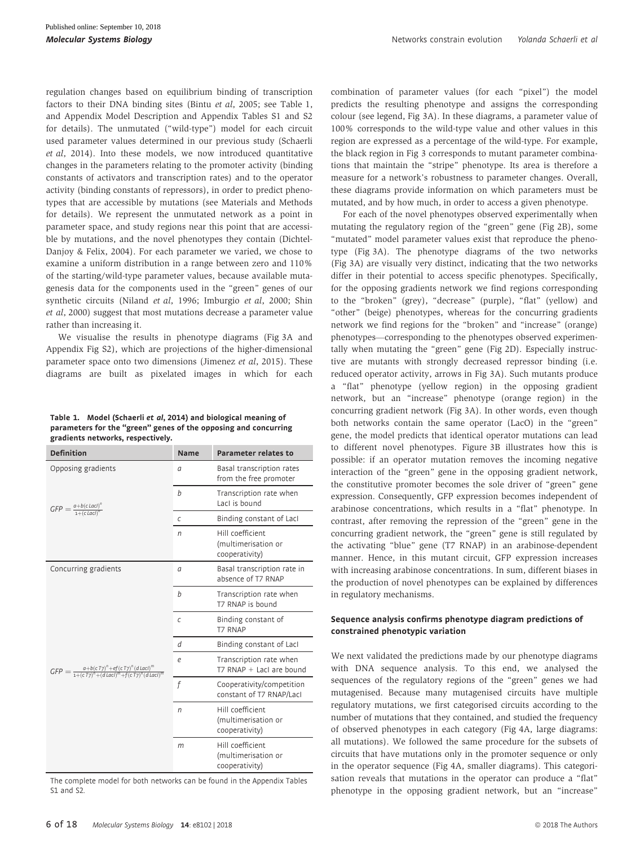regulation changes based on equilibrium binding of transcription factors to their DNA binding sites (Bintu et al, 2005; see Table 1, and Appendix Model Description and Appendix Tables S1 and S2 for details). The unmutated ("wild-type") model for each circuit used parameter values determined in our previous study (Schaerli et al, 2014). Into these models, we now introduced quantitative changes in the parameters relating to the promoter activity (binding constants of activators and transcription rates) and to the operator activity (binding constants of repressors), in order to predict phenotypes that are accessible by mutations (see Materials and Methods for details). We represent the unmutated network as a point in parameter space, and study regions near this point that are accessible by mutations, and the novel phenotypes they contain (Dichtel-Danjoy & Felix, 2004). For each parameter we varied, we chose to examine a uniform distribution in a range between zero and 110% of the starting/wild-type parameter values, because available mutagenesis data for the components used in the "green" genes of our synthetic circuits (Niland et al, 1996; Imburgio et al, 2000; Shin et al, 2000) suggest that most mutations decrease a parameter value rather than increasing it.

We visualise the results in phenotype diagrams (Fig 3A and Appendix Fig S2), which are projections of the higher-dimensional parameter space onto two dimensions (Jimenez et al, 2015). These diagrams are built as pixelated images in which for each

Table <sup>1</sup>. Model (Schaerli et al, <sup>2014</sup>) and biological meaning of parameters for the "green" genes of the opposing and concurring gradients networks, respectively.

| <b>Definition</b>                                                                                     | <b>Name</b>       | <b>Parameter relates to</b>                               |
|-------------------------------------------------------------------------------------------------------|-------------------|-----------------------------------------------------------|
| Opposing gradients                                                                                    | a                 | Basal transcription rates<br>from the free promoter       |
| $GFP = \frac{a+b(c \text{ Lac})^n}{1+(c \text{ Lac})^n}$                                              | h                 | Transcription rate when<br>Lacl is bound                  |
|                                                                                                       | $\mathcal{C}_{0}$ | Binding constant of Lacl                                  |
|                                                                                                       | n                 | Hill coefficient<br>(multimerisation or<br>cooperativity) |
| Concurring gradients                                                                                  | a                 | Basal transcription rate in<br>absence of T7 RNAP         |
|                                                                                                       | h                 | Transcription rate when<br>T7 RNAP is bound               |
|                                                                                                       | C                 | Binding constant of<br><b>T7 RNAP</b>                     |
|                                                                                                       | d                 | Binding constant of Lacl                                  |
| $GFP = \frac{a+b(cT\tau)^n + ef(cT\tau)^n(dLact)^m}{1+(cT\tau)^n + (dLact)^m + f(cT\tau)^n(dLact)^m}$ | e                 | Transcription rate when<br>T7 RNAP + Lacl are bound       |
|                                                                                                       | f                 | Cooperativity/competition<br>constant of T7 RNAP/Lacl     |
|                                                                                                       | n                 | Hill coefficient<br>(multimerisation or<br>cooperativity) |
|                                                                                                       | m                 | Hill coefficient<br>(multimerisation or<br>cooperativity) |

The complete model for both networks can be found in the Appendix Tables S1 and S2.

combination of parameter values (for each "pixel") the model predicts the resulting phenotype and assigns the corresponding colour (see legend, Fig 3A). In these diagrams, a parameter value of 100% corresponds to the wild-type value and other values in this region are expressed as a percentage of the wild-type. For example, the black region in Fig 3 corresponds to mutant parameter combinations that maintain the "stripe" phenotype. Its area is therefore a measure for a network's robustness to parameter changes. Overall, these diagrams provide information on which parameters must be mutated, and by how much, in order to access a given phenotype.

For each of the novel phenotypes observed experimentally when mutating the regulatory region of the "green" gene (Fig 2B), some "mutated" model parameter values exist that reproduce the phenotype (Fig 3A). The phenotype diagrams of the two networks (Fig 3A) are visually very distinct, indicating that the two networks differ in their potential to access specific phenotypes. Specifically, for the opposing gradients network we find regions corresponding to the "broken" (grey), "decrease" (purple), "flat" (yellow) and "other" (beige) phenotypes, whereas for the concurring gradients network we find regions for the "broken" and "increase" (orange) phenotypes—corresponding to the phenotypes observed experimentally when mutating the "green" gene (Fig 2D). Especially instructive are mutants with strongly decreased repressor binding (i.e. reduced operator activity, arrows in Fig 3A). Such mutants produce a "flat" phenotype (yellow region) in the opposing gradient network, but an "increase" phenotype (orange region) in the concurring gradient network (Fig 3A). In other words, even though both networks contain the same operator (LacO) in the "green" gene, the model predicts that identical operator mutations can lead to different novel phenotypes. Figure 3B illustrates how this is possible: if an operator mutation removes the incoming negative interaction of the "green" gene in the opposing gradient network, the constitutive promoter becomes the sole driver of "green" gene expression. Consequently, GFP expression becomes independent of arabinose concentrations, which results in a "flat" phenotype. In contrast, after removing the repression of the "green" gene in the concurring gradient network, the "green" gene is still regulated by the activating "blue" gene (T7 RNAP) in an arabinose-dependent manner. Hence, in this mutant circuit, GFP expression increases with increasing arabinose concentrations. In sum, different biases in the production of novel phenotypes can be explained by differences in regulatory mechanisms.

#### Sequence analysis confirms phenotype diagram predictions of constrained phenotypic variation

We next validated the predictions made by our phenotype diagrams with DNA sequence analysis. To this end, we analysed the sequences of the regulatory regions of the "green" genes we had mutagenised. Because many mutagenised circuits have multiple regulatory mutations, we first categorised circuits according to the number of mutations that they contained, and studied the frequency of observed phenotypes in each category (Fig 4A, large diagrams: all mutations). We followed the same procedure for the subsets of circuits that have mutations only in the promoter sequence or only in the operator sequence (Fig 4A, smaller diagrams). This categorisation reveals that mutations in the operator can produce a "flat" phenotype in the opposing gradient network, but an "increase"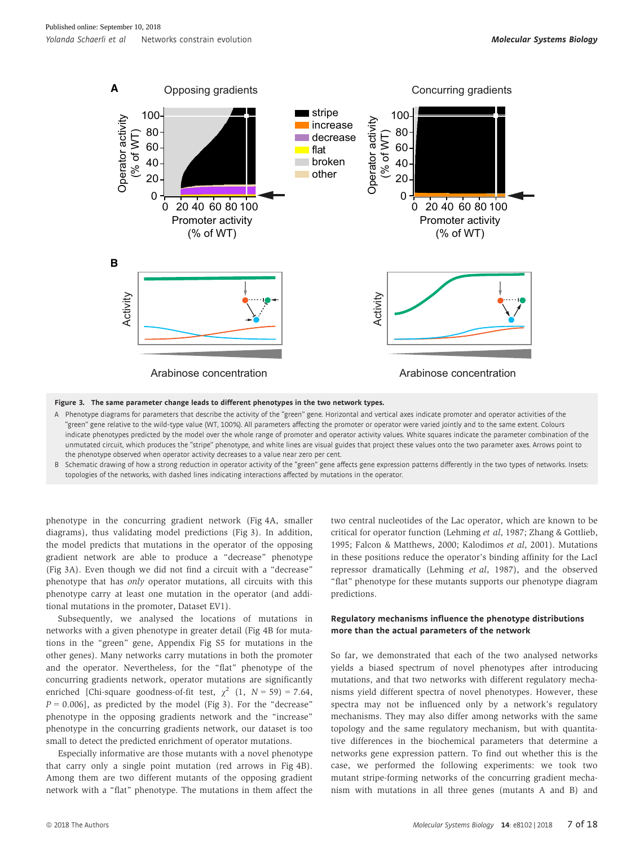

Figure 3. The same parameter change leads to different phenotypes in the two network types.

- A Phenotype diagrams for parameters that describe the activity of the "green" gene. Horizontal and vertical axes indicate promoter and operator activities of the "green" gene relative to the wild-type value (WT, 100%). All parameters affecting the promoter or operator were varied jointly and to the same extent. Colours indicate phenotypes predicted by the model over the whole range of promoter and operator activity values. White squares indicate the parameter combination of the unmutated circuit, which produces the "stripe" phenotype, and white lines are visual guides that project these values onto the two parameter axes. Arrows point to the phenotype observed when operator activity decreases to a value near zero per cent.
- B Schematic drawing of how a strong reduction in operator activity of the "green" gene affects gene expression patterns differently in the two types of networks. Insets: topologies of the networks, with dashed lines indicating interactions affected by mutations in the operator.

phenotype in the concurring gradient network (Fig 4A, smaller diagrams), thus validating model predictions (Fig 3). In addition, the model predicts that mutations in the operator of the opposing gradient network are able to produce a "decrease" phenotype (Fig 3A). Even though we did not find a circuit with a "decrease" phenotype that has only operator mutations, all circuits with this phenotype carry at least one mutation in the operator (and additional mutations in the promoter, Dataset EV1).

Subsequently, we analysed the locations of mutations in networks with a given phenotype in greater detail (Fig 4B for mutations in the "green" gene, Appendix Fig S5 for mutations in the other genes). Many networks carry mutations in both the promoter and the operator. Nevertheless, for the "flat" phenotype of the concurring gradients network, operator mutations are significantly enriched [Chi-square goodness-of-fit test,  $\chi^2$  (1,  $N = 59$ ) = 7.64,  $P = 0.006$ ], as predicted by the model (Fig 3). For the "decrease" phenotype in the opposing gradients network and the "increase" phenotype in the concurring gradients network, our dataset is too small to detect the predicted enrichment of operator mutations.

Especially informative are those mutants with a novel phenotype that carry only a single point mutation (red arrows in Fig 4B). Among them are two different mutants of the opposing gradient network with a "flat" phenotype. The mutations in them affect the two central nucleotides of the Lac operator, which are known to be critical for operator function (Lehming et al, 1987; Zhang & Gottlieb, 1995; Falcon & Matthews, 2000; Kalodimos et al, 2001). Mutations in these positions reduce the operator's binding affinity for the LacI repressor dramatically (Lehming et al, 1987), and the observed "flat" phenotype for these mutants supports our phenotype diagram predictions.

#### Regulatory mechanisms influence the phenotype distributions more than the actual parameters of the network

So far, we demonstrated that each of the two analysed networks yields a biased spectrum of novel phenotypes after introducing mutations, and that two networks with different regulatory mechanisms yield different spectra of novel phenotypes. However, these spectra may not be influenced only by a network's regulatory mechanisms. They may also differ among networks with the same topology and the same regulatory mechanism, but with quantitative differences in the biochemical parameters that determine a networks gene expression pattern. To find out whether this is the case, we performed the following experiments: we took two mutant stripe-forming networks of the concurring gradient mechanism with mutations in all three genes (mutants A and B) and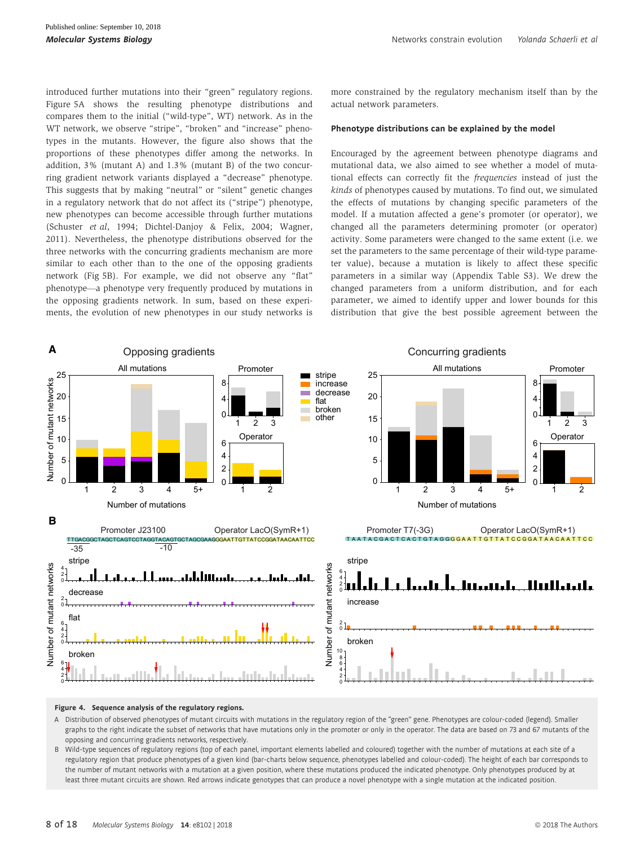introduced further mutations into their "green" regulatory regions. Figure 5A shows the resulting phenotype distributions and compares them to the initial ("wild-type", WT) network. As in the WT network, we observe "stripe", "broken" and "increase" phenotypes in the mutants. However, the figure also shows that the proportions of these phenotypes differ among the networks. In addition, 3% (mutant A) and 1.3% (mutant B) of the two concurring gradient network variants displayed a "decrease" phenotype. This suggests that by making "neutral" or "silent" genetic changes in a regulatory network that do not affect its ("stripe") phenotype, new phenotypes can become accessible through further mutations (Schuster et al, 1994; Dichtel-Danjoy & Felix, 2004; Wagner, 2011). Nevertheless, the phenotype distributions observed for the three networks with the concurring gradients mechanism are more similar to each other than to the one of the opposing gradients network (Fig 5B). For example, we did not observe any "flat" phenotype—a phenotype very frequently produced by mutations in the opposing gradients network. In sum, based on these experiments, the evolution of new phenotypes in our study networks is more constrained by the regulatory mechanism itself than by the actual network parameters.

#### Phenotype distributions can be explained by the model

Encouraged by the agreement between phenotype diagrams and mutational data, we also aimed to see whether a model of mutational effects can correctly fit the frequencies instead of just the kinds of phenotypes caused by mutations. To find out, we simulated the effects of mutations by changing specific parameters of the model. If a mutation affected a gene's promoter (or operator), we changed all the parameters determining promoter (or operator) activity. Some parameters were changed to the same extent (i.e. we set the parameters to the same percentage of their wild-type parameter value), because a mutation is likely to affect these specific parameters in a similar way (Appendix Table S3). We drew the changed parameters from a uniform distribution, and for each parameter, we aimed to identify upper and lower bounds for this distribution that give the best possible agreement between the



Figure 4. Sequence analysis of the regulatory regions.

- A Distribution of observed phenotypes of mutant circuits with mutations in the regulatory region of the "green" gene. Phenotypes are colour-coded (legend). Smaller graphs to the right indicate the subset of networks that have mutations only in the promoter or only in the operator. The data are based on 73 and 67 mutants of the opposing and concurring gradients networks, respectively.
- B Wild-type sequences of regulatory regions (top of each panel, important elements labelled and coloured) together with the number of mutations at each site of a regulatory region that produce phenotypes of a given kind (bar-charts below sequence, phenotypes labelled and colour-coded). The height of each bar corresponds to the number of mutant networks with a mutation at a given position, where these mutations produced the indicated phenotype. Only phenotypes produced by at least three mutant circuits are shown. Red arrows indicate genotypes that can produce a novel phenotype with a single mutation at the indicated position.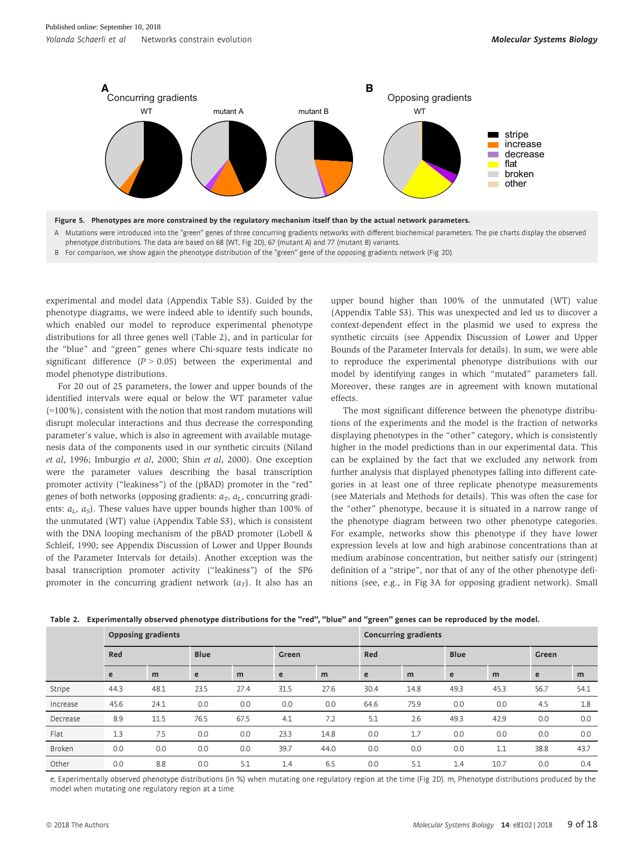

Figure 5. Phenotypes are more constrained by the regulatory mechanism itself than by the actual network parameters.

A Mutations were introduced into the "green" genes of three concurring gradients networks with different biochemical parameters. The pie charts display the observed phenotype distributions. The data are based on 68 (WT, Fig 2D), 67 (mutant A) and 77 (mutant B) variants.

B For comparison, we show again the phenotype distribution of the "green" gene of the opposing gradients network (Fig 2D).

experimental and model data (Appendix Table S3). Guided by the phenotype diagrams, we were indeed able to identify such bounds, which enabled our model to reproduce experimental phenotype distributions for all three genes well (Table 2), and in particular for the "blue" and "green" genes where Chi-square tests indicate no significant difference  $(P > 0.05)$  between the experimental and model phenotype distributions.

For 20 out of 25 parameters, the lower and upper bounds of the identified intervals were equal or below the WT parameter value (=100%), consistent with the notion that most random mutations will disrupt molecular interactions and thus decrease the corresponding parameter's value, which is also in agreement with available mutagenesis data of the components used in our synthetic circuits (Niland et al, 1996; Imburgio et al, 2000; Shin et al, 2000). One exception were the parameter values describing the basal transcription promoter activity ("leakiness") of the (pBAD) promoter in the "red" genes of both networks (opposing gradients:  $a_T$ ,  $a_L$ , concurring gradients:  $a_L$ ,  $a_S$ ). These values have upper bounds higher than 100% of the unmutated (WT) value (Appendix Table S3), which is consistent with the DNA looping mechanism of the pBAD promoter (Lobell & Schleif, 1990; see Appendix Discussion of Lower and Upper Bounds of the Parameter Intervals for details). Another exception was the basal transcription promoter activity ("leakiness") of the SP6 promoter in the concurring gradient network  $(a_T)$ . It also has an upper bound higher than 100% of the unmutated (WT) value (Appendix Table S3). This was unexpected and led us to discover a context-dependent effect in the plasmid we used to express the synthetic circuits (see Appendix Discussion of Lower and Upper Bounds of the Parameter Intervals for details). In sum, we were able to reproduce the experimental phenotype distributions with our model by identifying ranges in which "mutated" parameters fall. Moreover, these ranges are in agreement with known mutational effects.

The most significant difference between the phenotype distributions of the experiments and the model is the fraction of networks displaying phenotypes in the "other" category, which is consistently higher in the model predictions than in our experimental data. This can be explained by the fact that we excluded any network from further analysis that displayed phenotypes falling into different categories in at least one of three replicate phenotype measurements (see Materials and Methods for details). This was often the case for the "other" phenotype, because it is situated in a narrow range of the phenotype diagram between two other phenotype categories. For example, networks show this phenotype if they have lower expression levels at low and high arabinose concentrations than at medium arabinose concentration, but neither satisfy our (stringent) definition of a "stripe", nor that of any of the other phenotype definitions (see, e.g., in Fig 3A for opposing gradient network). Small

|          | <b>Opposing gradients</b> |      |             |      |      |       | <b>Concurring gradients</b> |      |      |             |      |       |  |
|----------|---------------------------|------|-------------|------|------|-------|-----------------------------|------|------|-------------|------|-------|--|
|          | Red                       |      | <b>Blue</b> |      |      | Green |                             | Red  |      | <b>Blue</b> |      | Green |  |
|          | e                         | m    | e           | m    | e    | m     | e                           | m    | e    | m           | e    | m     |  |
| Stripe   | 44.3                      | 48.1 | 23.5        | 27.4 | 31.5 | 27.6  | 30.4                        | 14.8 | 49.3 | 45.3        | 56.7 | 54.1  |  |
| Increase | 45.6                      | 24.1 | 0.0         | 0.0  | 0.0  | 0.0   | 64.6                        | 75.9 | 0.0  | 0.0         | 4.5  | 1.8   |  |
| Decrease | 8.9                       | 11.5 | 76.5        | 67.5 | 4.1  | 7.2   | 5.1                         | 2.6  | 49.3 | 42.9        | 0.0  | 0.0   |  |
| Flat     | 1.3                       | 7.5  | 0.0         | 0.0  | 23.3 | 14.8  | 0.0                         | 1.7  | 0.0  | 0.0         | 0.0  | 0.0   |  |
| Broken   | 0.0                       | 0.0  | 0.0         | 0.0  | 39.7 | 44.0  | 0.0                         | 0.0  | 0.0  | 1.1         | 38.8 | 43.7  |  |
| Other    | 0.0                       | 8.8  | 0.0         | 5.1  | 1.4  | 6.5   | 0.0                         | 5.1  | 1.4  | 10.7        | 0.0  | 0.4   |  |

Table 2. Experimentally observed phenotype distributions for the "red", "blue" and "green" genes can be reproduced by the model.

e, Experimentally observed phenotype distributions (in %) when mutating one regulatory region at the time (Fig 2D). m, Phenotype distributions produced by the model when mutating one regulatory region at a time.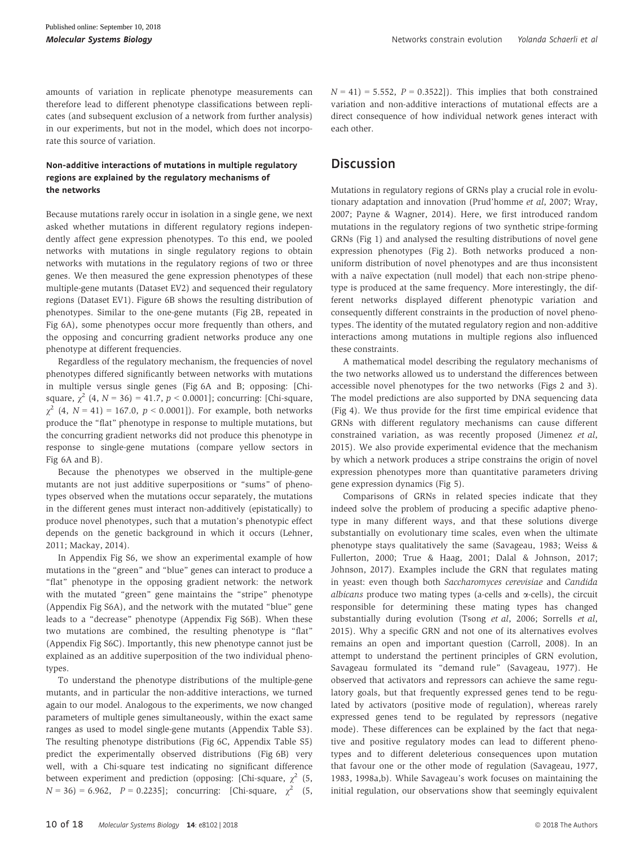amounts of variation in replicate phenotype measurements can therefore lead to different phenotype classifications between replicates (and subsequent exclusion of a network from further analysis) in our experiments, but not in the model, which does not incorporate this source of variation.

#### Non-additive interactions of mutations in multiple regulatory regions are explained by the regulatory mechanisms of the networks

Because mutations rarely occur in isolation in a single gene, we next asked whether mutations in different regulatory regions independently affect gene expression phenotypes. To this end, we pooled networks with mutations in single regulatory regions to obtain networks with mutations in the regulatory regions of two or three genes. We then measured the gene expression phenotypes of these multiple-gene mutants (Dataset EV2) and sequenced their regulatory regions (Dataset EV1). Figure 6B shows the resulting distribution of phenotypes. Similar to the one-gene mutants (Fig 2B, repeated in Fig 6A), some phenotypes occur more frequently than others, and the opposing and concurring gradient networks produce any one phenotype at different frequencies.

Regardless of the regulatory mechanism, the frequencies of novel phenotypes differed significantly between networks with mutations in multiple versus single genes (Fig 6A and B; opposing: [Chisquare,  $\chi^2$  (4,  $N = 36$ ) = 41.7,  $p < 0.0001$ ]; concurring: [Chi-square,  $\chi^2$  (4, N = 41) = 167.0, p < 0.0001]). For example, both networks produce the "flat" phenotype in response to multiple mutations, but the concurring gradient networks did not produce this phenotype in response to single-gene mutations (compare yellow sectors in Fig 6A and B).

Because the phenotypes we observed in the multiple-gene mutants are not just additive superpositions or "sums" of phenotypes observed when the mutations occur separately, the mutations in the different genes must interact non-additively (epistatically) to produce novel phenotypes, such that a mutation's phenotypic effect depends on the genetic background in which it occurs (Lehner, 2011; Mackay, 2014).

In Appendix Fig S6, we show an experimental example of how mutations in the "green" and "blue" genes can interact to produce a "flat" phenotype in the opposing gradient network: the network with the mutated "green" gene maintains the "stripe" phenotype (Appendix Fig S6A), and the network with the mutated "blue" gene leads to a "decrease" phenotype (Appendix Fig S6B). When these two mutations are combined, the resulting phenotype is "flat" (Appendix Fig S6C). Importantly, this new phenotype cannot just be explained as an additive superposition of the two individual phenotypes.

To understand the phenotype distributions of the multiple-gene mutants, and in particular the non-additive interactions, we turned again to our model. Analogous to the experiments, we now changed parameters of multiple genes simultaneously, within the exact same ranges as used to model single-gene mutants (Appendix Table S3). The resulting phenotype distributions (Fig 6C, Appendix Table S5) predict the experimentally observed distributions (Fig 6B) very well, with a Chi-square test indicating no significant difference between experiment and prediction (opposing: [Chi-square,  $\chi^2$  (5,  $N = 36$  = 6.962,  $P = 0.2235$ ; concurring: [Chi-square,  $\chi^2$  (5,  $N = 41$ ) = 5.552,  $P = 0.3522$ ]). This implies that both constrained variation and non-additive interactions of mutational effects are a direct consequence of how individual network genes interact with each other.

### **Discussion**

Mutations in regulatory regions of GRNs play a crucial role in evolutionary adaptation and innovation (Prud'homme et al, 2007; Wray, 2007; Payne & Wagner, 2014). Here, we first introduced random mutations in the regulatory regions of two synthetic stripe-forming GRNs (Fig 1) and analysed the resulting distributions of novel gene expression phenotypes (Fig 2). Both networks produced a nonuniform distribution of novel phenotypes and are thus inconsistent with a naïve expectation (null model) that each non-stripe phenotype is produced at the same frequency. More interestingly, the different networks displayed different phenotypic variation and consequently different constraints in the production of novel phenotypes. The identity of the mutated regulatory region and non-additive interactions among mutations in multiple regions also influenced these constraints.

A mathematical model describing the regulatory mechanisms of the two networks allowed us to understand the differences between accessible novel phenotypes for the two networks (Figs 2 and 3). The model predictions are also supported by DNA sequencing data (Fig 4). We thus provide for the first time empirical evidence that GRNs with different regulatory mechanisms can cause different constrained variation, as was recently proposed (Jimenez et al, 2015). We also provide experimental evidence that the mechanism by which a network produces a stripe constrains the origin of novel expression phenotypes more than quantitative parameters driving gene expression dynamics (Fig 5).

Comparisons of GRNs in related species indicate that they indeed solve the problem of producing a specific adaptive phenotype in many different ways, and that these solutions diverge substantially on evolutionary time scales, even when the ultimate phenotype stays qualitatively the same (Savageau, 1983; Weiss & Fullerton, 2000; True & Haag, 2001; Dalal & Johnson, 2017; Johnson, 2017). Examples include the GRN that regulates mating in yeast: even though both Saccharomyces cerevisiae and Candida albicans produce two mating types (a-cells and  $\alpha$ -cells), the circuit responsible for determining these mating types has changed substantially during evolution (Tsong et al, 2006; Sorrells et al, 2015). Why a specific GRN and not one of its alternatives evolves remains an open and important question (Carroll, 2008). In an attempt to understand the pertinent principles of GRN evolution, Savageau formulated its "demand rule" (Savageau, 1977). He observed that activators and repressors can achieve the same regulatory goals, but that frequently expressed genes tend to be regulated by activators (positive mode of regulation), whereas rarely expressed genes tend to be regulated by repressors (negative mode). These differences can be explained by the fact that negative and positive regulatory modes can lead to different phenotypes and to different deleterious consequences upon mutation that favour one or the other mode of regulation (Savageau, 1977, 1983, 1998a,b). While Savageau's work focuses on maintaining the initial regulation, our observations show that seemingly equivalent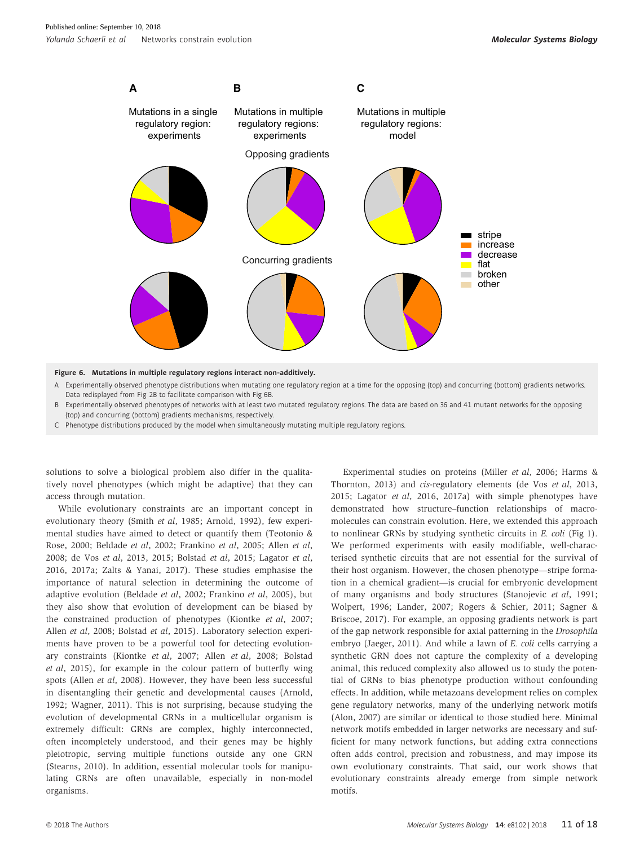

A Experimentally observed phenotype distributions when mutating one regulatory region at a time for the opposing (top) and concurring (bottom) gradients networks.

- Data redisplayed from Fig 2B to facilitate comparison with Fig 6B. B Experimentally observed phenotypes of networks with at least two mutated regulatory regions. The data are based on 36 and 41 mutant networks for the opposing (top) and concurring (bottom) gradients mechanisms, respectively.
- C Phenotype distributions produced by the model when simultaneously mutating multiple regulatory regions.

solutions to solve a biological problem also differ in the qualitatively novel phenotypes (which might be adaptive) that they can access through mutation.

While evolutionary constraints are an important concept in evolutionary theory (Smith et al, 1985; Arnold, 1992), few experimental studies have aimed to detect or quantify them (Teotonio & Rose, 2000; Beldade et al, 2002; Frankino et al, 2005; Allen et al, 2008; de Vos et al, 2013, 2015; Bolstad et al, 2015; Lagator et al, 2016, 2017a; Zalts & Yanai, 2017). These studies emphasise the importance of natural selection in determining the outcome of adaptive evolution (Beldade et al, 2002; Frankino et al, 2005), but they also show that evolution of development can be biased by the constrained production of phenotypes (Kiontke et al, 2007; Allen et al, 2008; Bolstad et al, 2015). Laboratory selection experiments have proven to be a powerful tool for detecting evolutionary constraints (Kiontke et al, 2007; Allen et al, 2008; Bolstad et al, 2015), for example in the colour pattern of butterfly wing spots (Allen et al, 2008). However, they have been less successful in disentangling their genetic and developmental causes (Arnold, 1992; Wagner, 2011). This is not surprising, because studying the evolution of developmental GRNs in a multicellular organism is extremely difficult: GRNs are complex, highly interconnected, often incompletely understood, and their genes may be highly pleiotropic, serving multiple functions outside any one GRN (Stearns, 2010). In addition, essential molecular tools for manipulating GRNs are often unavailable, especially in non-model organisms.

Experimental studies on proteins (Miller et al, 2006; Harms & Thornton, 2013) and cis-regulatory elements (de Vos et al, 2013, 2015; Lagator et al, 2016, 2017a) with simple phenotypes have demonstrated how structure–function relationships of macromolecules can constrain evolution. Here, we extended this approach to nonlinear GRNs by studying synthetic circuits in E. coli (Fig 1). We performed experiments with easily modifiable, well-characterised synthetic circuits that are not essential for the survival of their host organism. However, the chosen phenotype—stripe formation in a chemical gradient—is crucial for embryonic development of many organisms and body structures (Stanojevic et al, 1991; Wolpert, 1996; Lander, 2007; Rogers & Schier, 2011; Sagner & Briscoe, 2017). For example, an opposing gradients network is part of the gap network responsible for axial patterning in the Drosophila embryo (Jaeger, 2011). And while a lawn of E. coli cells carrying a synthetic GRN does not capture the complexity of a developing animal, this reduced complexity also allowed us to study the potential of GRNs to bias phenotype production without confounding effects. In addition, while metazoans development relies on complex gene regulatory networks, many of the underlying network motifs (Alon, 2007) are similar or identical to those studied here. Minimal network motifs embedded in larger networks are necessary and sufficient for many network functions, but adding extra connections often adds control, precision and robustness, and may impose its own evolutionary constraints. That said, our work shows that evolutionary constraints already emerge from simple network motifs.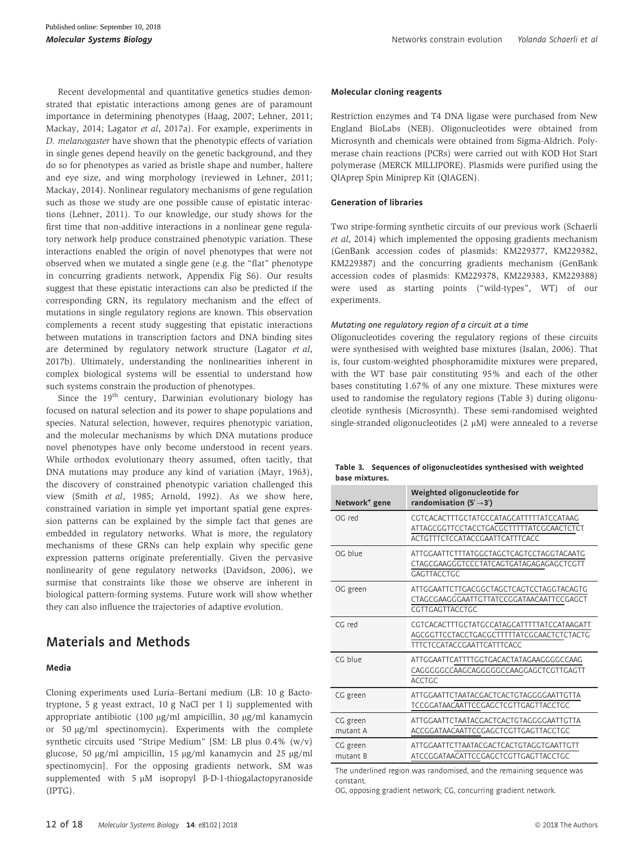Recent developmental and quantitative genetics studies demonstrated that epistatic interactions among genes are of paramount importance in determining phenotypes (Haag, 2007; Lehner, 2011; Mackay, 2014; Lagator et al, 2017a). For example, experiments in D. melanogaster have shown that the phenotypic effects of variation in single genes depend heavily on the genetic background, and they do so for phenotypes as varied as bristle shape and number, haltere and eye size, and wing morphology (reviewed in Lehner, 2011; Mackay, 2014). Nonlinear regulatory mechanisms of gene regulation such as those we study are one possible cause of epistatic interactions (Lehner, 2011). To our knowledge, our study shows for the first time that non-additive interactions in a nonlinear gene regulatory network help produce constrained phenotypic variation. These interactions enabled the origin of novel phenotypes that were not observed when we mutated a single gene (e.g. the "flat" phenotype in concurring gradients network, Appendix Fig S6). Our results suggest that these epistatic interactions can also be predicted if the corresponding GRN, its regulatory mechanism and the effect of mutations in single regulatory regions are known. This observation complements a recent study suggesting that epistatic interactions between mutations in transcription factors and DNA binding sites are determined by regulatory network structure (Lagator et al, 2017b). Ultimately, understanding the nonlinearities inherent in complex biological systems will be essential to understand how such systems constrain the production of phenotypes.

Since the  $19<sup>th</sup>$  century, Darwinian evolutionary biology has focused on natural selection and its power to shape populations and species. Natural selection, however, requires phenotypic variation, and the molecular mechanisms by which DNA mutations produce novel phenotypes have only become understood in recent years. While orthodox evolutionary theory assumed, often tacitly, that DNA mutations may produce any kind of variation (Mayr, 1963), the discovery of constrained phenotypic variation challenged this view (Smith et al, 1985; Arnold, 1992). As we show here, constrained variation in simple yet important spatial gene expression patterns can be explained by the simple fact that genes are embedded in regulatory networks. What is more, the regulatory mechanisms of these GRNs can help explain why specific gene expression patterns originate preferentially. Given the pervasive nonlinearity of gene regulatory networks (Davidson, 2006), we surmise that constraints like those we observe are inherent in biological pattern-forming systems. Future work will show whether they can also influence the trajectories of adaptive evolution.

## Materials and Methods

#### Media

Cloning experiments used Luria–Bertani medium (LB: 10 g Bactotryptone, 5 g yeast extract, 10 g NaCl per 1 l) supplemented with appropriate antibiotic (100 µg/ml ampicillin, 30 µg/ml kanamycin or 50 µg/ml spectinomycin). Experiments with the complete synthetic circuits used "Stripe Medium" [SM: LB plus 0.4% (w/v) glucose, 50  $\mu$ g/ml ampicillin, 15  $\mu$ g/ml kanamycin and 25  $\mu$ g/ml spectinomycin]. For the opposing gradients network, SM was supplemented with  $5 \mu M$  isopropyl  $\beta$ -D-1-thiogalactopyranoside (IPTG).

Restriction enzymes and T4 DNA ligase were purchased from New England BioLabs (NEB). Oligonucleotides were obtained from Microsynth and chemicals were obtained from Sigma-Aldrich. Polymerase chain reactions (PCRs) were carried out with KOD Hot Start polymerase (MERCK MILLIPORE). Plasmids were purified using the QIAprep Spin Miniprep Kit (QIAGEN).

#### Generation of libraries

Two stripe-forming synthetic circuits of our previous work (Schaerli et al, 2014) which implemented the opposing gradients mechanism (GenBank accession codes of plasmids: KM229377, KM229382, KM229387) and the concurring gradients mechanism (GenBank accession codes of plasmids: KM229378, KM229383, KM229388) were used as starting points ("wild-types", WT) of our experiments.

#### Mutating one regulatory region of a circuit at a time

Oligonucleotides covering the regulatory regions of these circuits were synthesised with weighted base mixtures (Isalan, 2006). That is, four custom-weighted phosphoramidite mixtures were prepared, with the WT base pair constituting 95% and each of the other bases constituting 1.67% of any one mixture. These mixtures were used to randomise the regulatory regions (Table 3) during oligonucleotide synthesis (Microsynth). These semi-randomised weighted single-stranded oligonucleotides (2  $\mu$ M) were annealed to a reverse

|                | Table 3. Sequences of oligonucleotides synthesised with weighted |
|----------------|------------------------------------------------------------------|
| base mixtures. |                                                                  |

| Network <sup>+</sup> gene | Weighted oligonucleotide for<br>randomisation $(5' \rightarrow 3')$                                                          |
|---------------------------|------------------------------------------------------------------------------------------------------------------------------|
| OG red                    | CGTCACACTTTGCTATGCCATAGCATTTTTATCCATAAG<br>ATTAGCGGTTCCTACCTGACGCTTTTTATCGCAACTCTCT<br>ACTGTTTCTCCATACCGAATTCATTTCACC        |
| OG blue                   | ATTGGAATTCTTTATGGCTAGCTCAGTCCTAGGTACAATG<br>CTAGCGAAGGGTCCCTATCAGTGATAGAGAGAGCTCGTT<br><b>GAGTTACCTGC</b>                    |
| OG green                  | ATTGGAATTCTTGACGGCTAGCTCAGTCCTAGGTACAGTG<br>CTAGCGAAGGGAATTGTTATCCGGATAACAATTCCGAGCT<br>CGTTGAGTTACCTGC                      |
| CG red                    | CGTCACACTTTGCTATGCCATAGCATTTTTATCCATAAGATT<br>AGCGGTTCCTACCTGACGCTTTTTATCGCAACTCTCTACTG<br><b>TTTCTCCATACCGAATTCATTTCACC</b> |
| CG blue                   | ATTGGAATTCATTTTGGTGACACTATAGAAGGGCCCAAG<br>CAGGGGCCCAAGCAGGGGCCCAAGGAGCTCGTTGAGTT<br><b>ACCTGC</b>                           |
| CG green                  | ATTGGAATTCTAATACGACTCACTGTAGGGGAATTGTTA<br>TCCGGATAACAATTCCGAGCTCGTTGAGTTACCTGC                                              |
| CG green<br>mutant A      | ATTGGAATTCTAATACGACTCACTGTAGGGGAATTGTTA<br>ACCGGATAACAATTCCGAGCTCGTTGAGTTACCTGC                                              |
| CG green<br>mutant B      | ATTGGAATTCTTAATACGACTCACTGTAGGTGAATTGTT<br>ATCCGGATAACATTCCGAGCTCGTTGAGTTACCTGC                                              |

The underlined region was randomised, and the remaining sequence was constant.

OG, opposing gradient network; CG, concurring gradient network.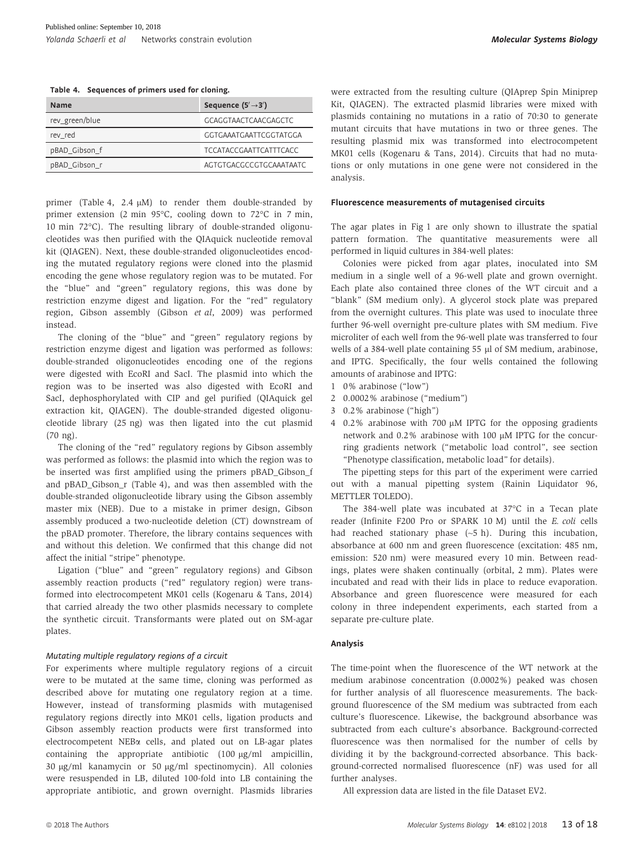Table 4. Sequences of primers used for cloning.

| <b>Name</b>    | Sequence $(5' \rightarrow 3')$ |
|----------------|--------------------------------|
| rev_green/blue | <b>GCAGGTAACTCAACGAGCTC</b>    |
| rev red        | GGTGAAATGAATTCGGTATGGA         |
| pBAD_Gibson_f  | <b>TCCATACCGAATTCATTTCACC</b>  |
| pBAD_Gibson_r  | AGTGTGACGCCGTGCAAATAATC        |

primer (Table 4, 2.4  $\mu$ M) to render them double-stranded by primer extension (2 min 95°C, cooling down to 72°C in 7 min, 10 min 72°C). The resulting library of double-stranded oligonucleotides was then purified with the QIAquick nucleotide removal kit (QIAGEN). Next, these double-stranded oligonucleotides encoding the mutated regulatory regions were cloned into the plasmid encoding the gene whose regulatory region was to be mutated. For the "blue" and "green" regulatory regions, this was done by restriction enzyme digest and ligation. For the "red" regulatory region, Gibson assembly (Gibson et al, 2009) was performed instead.

The cloning of the "blue" and "green" regulatory regions by restriction enzyme digest and ligation was performed as follows: double-stranded oligonucleotides encoding one of the regions were digested with EcoRI and SacI. The plasmid into which the region was to be inserted was also digested with EcoRI and SacI, dephosphorylated with CIP and gel purified (QIAquick gel extraction kit, QIAGEN). The double-stranded digested oligonucleotide library (25 ng) was then ligated into the cut plasmid (70 ng).

The cloning of the "red" regulatory regions by Gibson assembly was performed as follows: the plasmid into which the region was to be inserted was first amplified using the primers pBAD\_Gibson\_f and pBAD\_Gibson\_r (Table 4), and was then assembled with the double-stranded oligonucleotide library using the Gibson assembly master mix (NEB). Due to a mistake in primer design, Gibson assembly produced a two-nucleotide deletion (CT) downstream of the pBAD promoter. Therefore, the library contains sequences with and without this deletion. We confirmed that this change did not affect the initial "stripe" phenotype.

Ligation ("blue" and "green" regulatory regions) and Gibson assembly reaction products ("red" regulatory region) were transformed into electrocompetent MK01 cells (Kogenaru & Tans, 2014) that carried already the two other plasmids necessary to complete the synthetic circuit. Transformants were plated out on SM-agar plates.

#### Mutating multiple regulatory regions of a circuit

For experiments where multiple regulatory regions of a circuit were to be mutated at the same time, cloning was performed as described above for mutating one regulatory region at a time. However, instead of transforming plasmids with mutagenised regulatory regions directly into MK01 cells, ligation products and Gibson assembly reaction products were first transformed into electrocompetent NEBa cells, and plated out on LB-agar plates containing the appropriate antibiotic  $(100 \text{ µg/ml}$  ampicillin, 30 µg/ml kanamycin or 50 µg/ml spectinomycin). All colonies were resuspended in LB, diluted 100-fold into LB containing the appropriate antibiotic, and grown overnight. Plasmids libraries were extracted from the resulting culture (QIAprep Spin Miniprep Kit, QIAGEN). The extracted plasmid libraries were mixed with plasmids containing no mutations in a ratio of 70:30 to generate mutant circuits that have mutations in two or three genes. The resulting plasmid mix was transformed into electrocompetent MK01 cells (Kogenaru & Tans, 2014). Circuits that had no mutations or only mutations in one gene were not considered in the analysis.

#### Fluorescence measurements of mutagenised circuits

The agar plates in Fig 1 are only shown to illustrate the spatial pattern formation. The quantitative measurements were all performed in liquid cultures in 384-well plates:

Colonies were picked from agar plates, inoculated into SM medium in a single well of a 96-well plate and grown overnight. Each plate also contained three clones of the WT circuit and a "blank" (SM medium only). A glycerol stock plate was prepared from the overnight cultures. This plate was used to inoculate three further 96-well overnight pre-culture plates with SM medium. Five microliter of each well from the 96-well plate was transferred to four wells of a 384-well plate containing 55  $\mu$ l of SM medium, arabinose, and IPTG. Specifically, the four wells contained the following amounts of arabinose and IPTG:

- 1 0% arabinose ("low")
- 2 0.0002% arabinose ("medium")
- 3 0.2% arabinose ("high")
- 4 0.2% arabinose with 700 µM IPTG for the opposing gradients network and  $0.2\%$  arabinose with 100  $\mu$ M IPTG for the concurring gradients network ("metabolic load control", see section "Phenotype classification, metabolic load" for details).

The pipetting steps for this part of the experiment were carried out with a manual pipetting system (Rainin Liquidator 96, METTLER TOLEDO).

The 384-well plate was incubated at 37°C in a Tecan plate reader (Infinite F200 Pro or SPARK 10 M) until the E. coli cells had reached stationary phase  $({\sim}5 \text{ h})$ . During this incubation, absorbance at 600 nm and green fluorescence (excitation: 485 nm, emission: 520 nm) were measured every 10 min. Between readings, plates were shaken continually (orbital, 2 mm). Plates were incubated and read with their lids in place to reduce evaporation. Absorbance and green fluorescence were measured for each colony in three independent experiments, each started from a separate pre-culture plate.

#### Analysis

The time-point when the fluorescence of the WT network at the medium arabinose concentration (0.0002%) peaked was chosen for further analysis of all fluorescence measurements. The background fluorescence of the SM medium was subtracted from each culture's fluorescence. Likewise, the background absorbance was subtracted from each culture's absorbance. Background-corrected fluorescence was then normalised for the number of cells by dividing it by the background-corrected absorbance. This background-corrected normalised fluorescence (nF) was used for all further analyses.

All expression data are listed in the file Dataset EV2.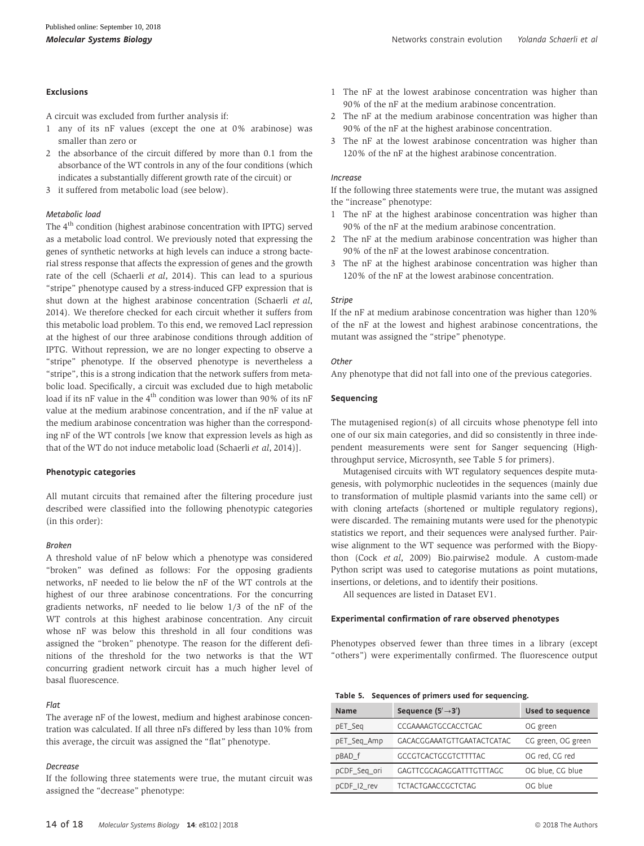#### Exclusions

A circuit was excluded from further analysis if:

- 1 any of its nF values (except the one at 0% arabinose) was smaller than zero or
- 2 the absorbance of the circuit differed by more than 0.1 from the absorbance of the WT controls in any of the four conditions (which indicates a substantially different growth rate of the circuit) or
- 3 it suffered from metabolic load (see below).

#### Metabolic load

The 4<sup>th</sup> condition (highest arabinose concentration with IPTG) served as a metabolic load control. We previously noted that expressing the genes of synthetic networks at high levels can induce a strong bacterial stress response that affects the expression of genes and the growth rate of the cell (Schaerli et al, 2014). This can lead to a spurious "stripe" phenotype caused by a stress-induced GFP expression that is shut down at the highest arabinose concentration (Schaerli et al, 2014). We therefore checked for each circuit whether it suffers from this metabolic load problem. To this end, we removed LacI repression at the highest of our three arabinose conditions through addition of IPTG. Without repression, we are no longer expecting to observe a "stripe" phenotype. If the observed phenotype is nevertheless a "stripe", this is a strong indication that the network suffers from metabolic load. Specifically, a circuit was excluded due to high metabolic load if its nF value in the  $4<sup>th</sup>$  condition was lower than 90% of its nF value at the medium arabinose concentration, and if the nF value at the medium arabinose concentration was higher than the corresponding nF of the WT controls [we know that expression levels as high as that of the WT do not induce metabolic load (Schaerli et al, 2014)].

#### Phenotypic categories

All mutant circuits that remained after the filtering procedure just described were classified into the following phenotypic categories (in this order):

#### Broken

A threshold value of nF below which a phenotype was considered "broken" was defined as follows: For the opposing gradients networks, nF needed to lie below the nF of the WT controls at the highest of our three arabinose concentrations. For the concurring gradients networks, nF needed to lie below 1/3 of the nF of the WT controls at this highest arabinose concentration. Any circuit whose nF was below this threshold in all four conditions was assigned the "broken" phenotype. The reason for the different definitions of the threshold for the two networks is that the WT concurring gradient network circuit has a much higher level of basal fluorescence.

#### Flat

The average nF of the lowest, medium and highest arabinose concentration was calculated. If all three nFs differed by less than 10% from this average, the circuit was assigned the "flat" phenotype.

#### **Decrease**

If the following three statements were true, the mutant circuit was assigned the "decrease" phenotype:

- 1 The nF at the lowest arabinose concentration was higher than 90% of the nF at the medium arabinose concentration.
- 2 The nF at the medium arabinose concentration was higher than 90% of the nF at the highest arabinose concentration.
- 3 The nF at the lowest arabinose concentration was higher than 120% of the nF at the highest arabinose concentration.

#### Increase

If the following three statements were true, the mutant was assigned the "increase" phenotype:

- 1 The nF at the highest arabinose concentration was higher than 90% of the nF at the medium arabinose concentration.
- 2 The nF at the medium arabinose concentration was higher than 90% of the nF at the lowest arabinose concentration.
- 3 The nF at the highest arabinose concentration was higher than 120% of the nF at the lowest arabinose concentration.

#### Stripe

If the nF at medium arabinose concentration was higher than 120% of the nF at the lowest and highest arabinose concentrations, the mutant was assigned the "stripe" phenotype.

#### **Other**

Any phenotype that did not fall into one of the previous categories.

#### Sequencing

The mutagenised region(s) of all circuits whose phenotype fell into one of our six main categories, and did so consistently in three independent measurements were sent for Sanger sequencing (Highthroughput service, Microsynth, see Table 5 for primers).

Mutagenised circuits with WT regulatory sequences despite mutagenesis, with polymorphic nucleotides in the sequences (mainly due to transformation of multiple plasmid variants into the same cell) or with cloning artefacts (shortened or multiple regulatory regions), were discarded. The remaining mutants were used for the phenotypic statistics we report, and their sequences were analysed further. Pairwise alignment to the WT sequence was performed with the Biopython (Cock et al, 2009) Bio.pairwise2 module. A custom-made Python script was used to categorise mutations as point mutations, insertions, or deletions, and to identify their positions.

All sequences are listed in Dataset EV1.

#### Experimental confirmation of rare observed phenotypes

Phenotypes observed fewer than three times in a library (except "others") were experimentally confirmed. The fluorescence output

| Table 5. Sequences of primers used for sequencing. |  |  |  |  |  |  |  |
|----------------------------------------------------|--|--|--|--|--|--|--|
|----------------------------------------------------|--|--|--|--|--|--|--|

| <b>Name</b>  | Sequence $(5' \rightarrow 3')$ | <b>Used to sequence</b> |
|--------------|--------------------------------|-------------------------|
| pET_Seq      | CCGAAAAGTGCCACCTGAC            | OG green                |
| pET_Seq_Amp  | GACACGGAAATGTTGAATACTCATAC     | CG green, OG green      |
| pBAD f       | <b>GCCGTCACTGCGTCTTTTAC</b>    | OG red, CG red          |
| pCDF_Seq_ori | GAGTTCGCAGAGGATTTGTTTAGC       | OG blue, CG blue        |
| pCDF 12 rev  | <b>TCTACTGAACCGCTCTAG</b>      | OG blue                 |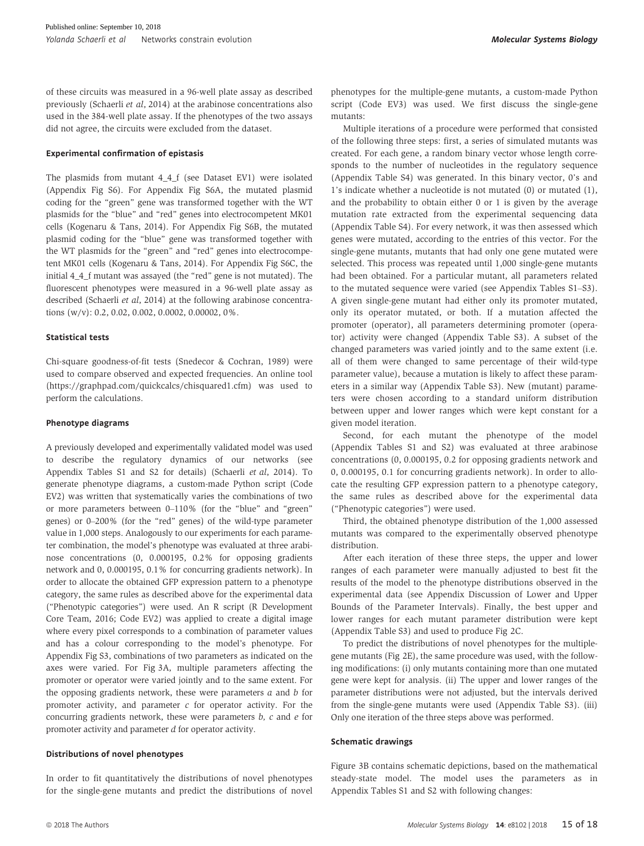of these circuits was measured in a 96-well plate assay as described previously (Schaerli et al, 2014) at the arabinose concentrations also used in the 384-well plate assay. If the phenotypes of the two assays did not agree, the circuits were excluded from the dataset.

#### Experimental confirmation of epistasis

The plasmids from mutant 4\_4\_f (see Dataset EV1) were isolated (Appendix Fig S6). For Appendix Fig S6A, the mutated plasmid coding for the "green" gene was transformed together with the WT plasmids for the "blue" and "red" genes into electrocompetent MK01 cells (Kogenaru & Tans, 2014). For Appendix Fig S6B, the mutated plasmid coding for the "blue" gene was transformed together with the WT plasmids for the "green" and "red" genes into electrocompetent MK01 cells (Kogenaru & Tans, 2014). For Appendix Fig S6C, the initial 4\_4\_f mutant was assayed (the "red" gene is not mutated). The fluorescent phenotypes were measured in a 96-well plate assay as described (Schaerli et al, 2014) at the following arabinose concentrations (w/v): 0.2, 0.02, 0.002, 0.0002, 0.00002, 0%.

#### Statistical tests

Chi-square goodness-of-fit tests (Snedecor & Cochran, 1989) were used to compare observed and expected frequencies. An online tool ([https://graphpad.com/quickcalcs/chisquared1.cfm\)](https://graphpad.com/quickcalcs/chisquared1.cfm) was used to perform the calculations.

#### Phenotype diagrams

A previously developed and experimentally validated model was used to describe the regulatory dynamics of our networks (see Appendix Tables S1 and S2 for details) (Schaerli et al, 2014). To generate phenotype diagrams, a custom-made Python script (Code EV2) was written that systematically varies the combinations of two or more parameters between 0–110% (for the "blue" and "green" genes) or 0–200% (for the "red" genes) of the wild-type parameter value in 1,000 steps. Analogously to our experiments for each parameter combination, the model's phenotype was evaluated at three arabinose concentrations (0, 0.000195, 0.2% for opposing gradients network and 0, 0.000195, 0.1% for concurring gradients network). In order to allocate the obtained GFP expression pattern to a phenotype category, the same rules as described above for the experimental data ("Phenotypic categories") were used. An R script (R Development Core Team, 2016; Code EV2) was applied to create a digital image where every pixel corresponds to a combination of parameter values and has a colour corresponding to the model's phenotype. For Appendix Fig S3, combinations of two parameters as indicated on the axes were varied. For Fig 3A, multiple parameters affecting the promoter or operator were varied jointly and to the same extent. For the opposing gradients network, these were parameters  $a$  and  $b$  for promoter activity, and parameter  $c$  for operator activity. For the concurring gradients network, these were parameters  $b$ ,  $c$  and  $e$  for promoter activity and parameter d for operator activity.

#### Distributions of novel phenotypes

In order to fit quantitatively the distributions of novel phenotypes for the single-gene mutants and predict the distributions of novel phenotypes for the multiple-gene mutants, a custom-made Python script (Code EV3) was used. We first discuss the single-gene mutants:

Multiple iterations of a procedure were performed that consisted of the following three steps: first, a series of simulated mutants was created. For each gene, a random binary vector whose length corresponds to the number of nucleotides in the regulatory sequence (Appendix Table S4) was generated. In this binary vector, 0's and 1's indicate whether a nucleotide is not mutated (0) or mutated (1), and the probability to obtain either 0 or 1 is given by the average mutation rate extracted from the experimental sequencing data (Appendix Table S4). For every network, it was then assessed which genes were mutated, according to the entries of this vector. For the single-gene mutants, mutants that had only one gene mutated were selected. This process was repeated until 1,000 single-gene mutants had been obtained. For a particular mutant, all parameters related to the mutated sequence were varied (see Appendix Tables S1–S3). A given single-gene mutant had either only its promoter mutated, only its operator mutated, or both. If a mutation affected the promoter (operator), all parameters determining promoter (operator) activity were changed (Appendix Table S3). A subset of the changed parameters was varied jointly and to the same extent (i.e. all of them were changed to same percentage of their wild-type parameter value), because a mutation is likely to affect these parameters in a similar way (Appendix Table S3). New (mutant) parameters were chosen according to a standard uniform distribution between upper and lower ranges which were kept constant for a given model iteration.

Second, for each mutant the phenotype of the model (Appendix Tables S1 and S2) was evaluated at three arabinose concentrations (0, 0.000195, 0.2 for opposing gradients network and 0, 0.000195, 0.1 for concurring gradients network). In order to allocate the resulting GFP expression pattern to a phenotype category, the same rules as described above for the experimental data ("Phenotypic categories") were used.

Third, the obtained phenotype distribution of the 1,000 assessed mutants was compared to the experimentally observed phenotype distribution.

After each iteration of these three steps, the upper and lower ranges of each parameter were manually adjusted to best fit the results of the model to the phenotype distributions observed in the experimental data (see Appendix Discussion of Lower and Upper Bounds of the Parameter Intervals). Finally, the best upper and lower ranges for each mutant parameter distribution were kept (Appendix Table S3) and used to produce Fig 2C.

To predict the distributions of novel phenotypes for the multiplegene mutants (Fig 2E), the same procedure was used, with the following modifications: (i) only mutants containing more than one mutated gene were kept for analysis. (ii) The upper and lower ranges of the parameter distributions were not adjusted, but the intervals derived from the single-gene mutants were used (Appendix Table S3). (iii) Only one iteration of the three steps above was performed.

#### Schematic drawings

Figure 3B contains schematic depictions, based on the mathematical steady-state model. The model uses the parameters as in Appendix Tables S1 and S2 with following changes: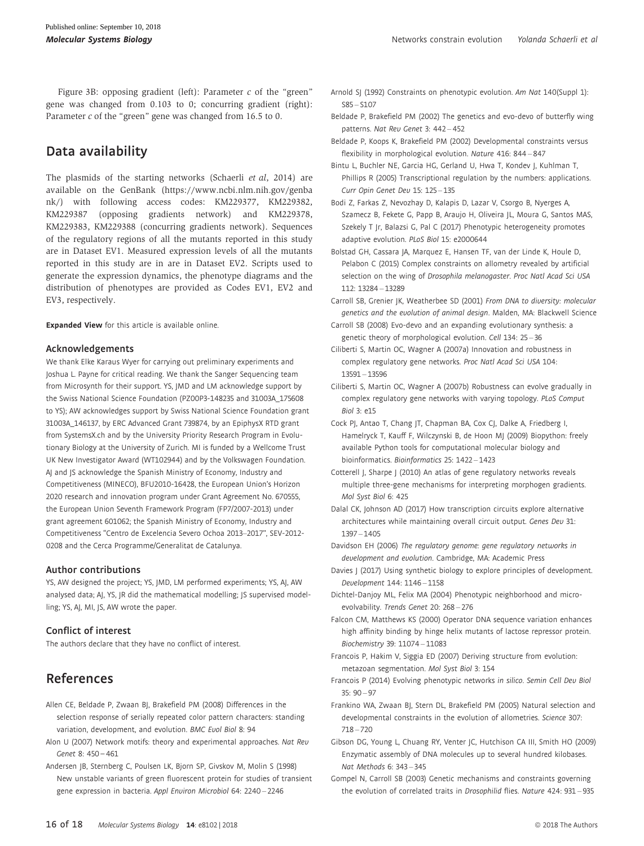Figure 3B: opposing gradient (left): Parameter  $c$  of the "green" gene was changed from 0.103 to 0; concurring gradient (right): Parameter c of the "green" gene was changed from 16.5 to 0.

## Data availability

The plasmids of the starting networks (Schaerli et al, 2014) are available on the GenBank [\(https://www.ncbi.nlm.nih.gov/genba](https://www.ncbi.nlm.nih.gov/genbank/) [nk/\)](https://www.ncbi.nlm.nih.gov/genbank/) with following access codes: KM229377, KM229382, KM229387 (opposing gradients network) and KM229378, KM229383, KM229388 (concurring gradients network). Sequences of the regulatory regions of all the mutants reported in this study are in Dataset EV1. Measured expression levels of all the mutants reported in this study are in are in Dataset EV2. Scripts used to generate the expression dynamics, the phenotype diagrams and the distribution of phenotypes are provided as Codes EV1, EV2 and EV3, respectively.

Expanded View for this article is available [online.](https://doi.org/10.15252/msb.20178102)

#### Acknowledgements

We thank Elke Karaus Wyer for carrying out preliminary experiments and Joshua L. Payne for critical reading. We thank the Sanger Sequencing team from Microsynth for their support. YS, JMD and LM acknowledge support by the Swiss National Science Foundation (PZ00P3-148235 and 31003A\_175608 to YS); AW acknowledges support by Swiss National Science Foundation grant 31003A\_146137, by ERC Advanced Grant 739874, by an EpiphysX RTD grant from SystemsX.ch and by the University Priority Research Program in Evolutionary Biology at the University of Zurich. MI is funded by a Wellcome Trust UK New Investigator Award (WT102944) and by the Volkswagen Foundation. AJ and JS acknowledge the Spanish Ministry of Economy, Industry and Competitiveness (MINECO), BFU2010-16428, the European Union's Horizon 2020 research and innovation program under Grant Agreement No. 670555, the European Union Seventh Framework Program (FP7/2007-2013) under grant agreement 601062; the Spanish Ministry of Economy, Industry and Competitiveness "Centro de Excelencia Severo Ochoa 2013–2017", SEV-2012- 0208 and the Cerca Programme/Generalitat de Catalunya.

#### Author contributions

YS, AW designed the project; YS, JMD, LM performed experiments; YS, AJ, AW analysed data; AJ, YS, JR did the mathematical modelling; JS supervised modelling; YS, AJ, MI, JS, AW wrote the paper.

#### Conflict of interest

The authors declare that they have no conflict of interest.

## References

- Allen CE, Beldade P, Zwaan BJ, Brakefield PM (2008) Differences in the selection response of serially repeated color pattern characters: standing variation, development, and evolution. BMC Evol Biol 8: 94
- Alon U (2007) Network motifs: theory and experimental approaches. Nat Rev Genet 8: 450 – 461
- Andersen JB, Sternberg C, Poulsen LK, Bjorn SP, Givskov M, Molin S (1998) New unstable variants of green fluorescent protein for studies of transient gene expression in bacteria. Appl Environ Microbiol 64: 2240 – 2246
- Beldade P, Brakefield PM (2002) The genetics and evo-devo of butterfly wing patterns. Nat Rev Genet 3: 442 – 452
- Beldade P, Koops K, Brakefield PM (2002) Developmental constraints versus flexibility in morphological evolution. Nature 416: 844 – 847
- Bintu L, Buchler NE, Garcia HG, Gerland U, Hwa T, Kondev J, Kuhlman T, Phillips R (2005) Transcriptional regulation by the numbers: applications. Curr Opin Genet Dev 15: 125 – 135
- Bodi Z, Farkas Z, Nevozhay D, Kalapis D, Lazar V, Csorgo B, Nyerges A, Szamecz B, Fekete G, Papp B, Araujo H, Oliveira JL, Moura G, Santos MAS, Szekely T Jr, Balazsi G, Pal C (2017) Phenotypic heterogeneity promotes adaptive evolution. PLoS Biol 15: e2000644
- Bolstad GH, Cassara JA, Marquez E, Hansen TF, van der Linde K, Houle D, Pelabon C (2015) Complex constraints on allometry revealed by artificial selection on the wing of Drosophila melanogaster. Proc Natl Acad Sci USA 112: 13284 – 13289
- Carroll SB, Grenier JK, Weatherbee SD (2001) From DNA to diversity: molecular genetics and the evolution of animal design. Malden, MA: Blackwell Science
- Carroll SB (2008) Evo-devo and an expanding evolutionary synthesis: a genetic theory of morphological evolution. Cell 134: 25 – 36
- Ciliberti S, Martin OC, Wagner A (2007a) Innovation and robustness in complex regulatory gene networks. Proc Natl Acad Sci USA 104: 13591 – 13596
- Ciliberti S, Martin OC, Wagner A (2007b) Robustness can evolve gradually in complex regulatory gene networks with varying topology. PLoS Comput Biol 3: e15
- Cock PJ, Antao T, Chang JT, Chapman BA, Cox CJ, Dalke A, Friedberg I, Hamelryck T, Kauff F, Wilczynski B, de Hoon MJ (2009) Biopython: freely available Python tools for computational molecular biology and bioinformatics. Bioinformatics 25: 1422 – 1423
- Cotterell J, Sharpe J (2010) An atlas of gene regulatory networks reveals multiple three-gene mechanisms for interpreting morphogen gradients. Mol Syst Biol 6: 425
- Dalal CK, Johnson AD (2017) How transcription circuits explore alternative architectures while maintaining overall circuit output. Genes Dev 31: 1397 – 1405

Davidson EH (2006) The regulatory genome: gene regulatory networks in development and evolution. Cambridge, MA: Academic Press

- Davies J (2017) Using synthetic biology to explore principles of development. Development 144: 1146 – 1158
- Dichtel-Danjoy ML, Felix MA (2004) Phenotypic neighborhood and microevolvability. Trends Genet 20: 268 – 276
- Falcon CM, Matthews KS (2000) Operator DNA sequence variation enhances high affinity binding by hinge helix mutants of lactose repressor protein. Biochemistry 39: 11074 – 11083
- Francois P, Hakim V, Siggia ED (2007) Deriving structure from evolution: metazoan segmentation. Mol Syst Biol 3: 154
- Francois P (2014) Evolving phenotypic networks in silico. Semin Cell Dev Biol 35: 90 – 97
- Frankino WA, Zwaan BJ, Stern DL, Brakefield PM (2005) Natural selection and developmental constraints in the evolution of allometries. Science 307:  $718 - 720$
- Gibson DG, Young L, Chuang RY, Venter JC, Hutchison CA III, Smith HO (2009) Enzymatic assembly of DNA molecules up to several hundred kilobases. Nat Methods 6: 343 – 345
- Gompel N, Carroll SB (2003) Genetic mechanisms and constraints governing the evolution of correlated traits in Drosophilid flies. Nature 424: 931 – 935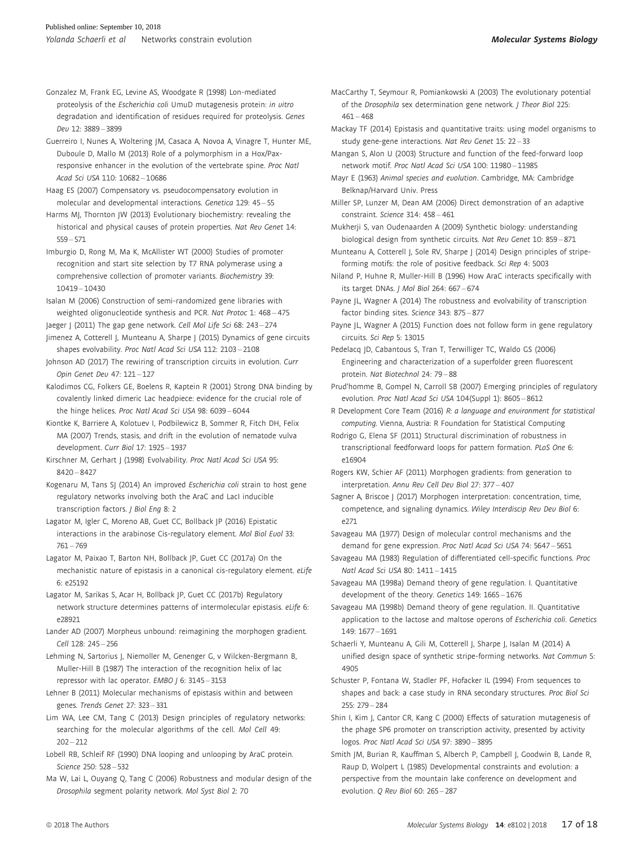- Gonzalez M, Frank EG, Levine AS, Woodgate R (1998) Lon-mediated proteolysis of the Escherichia coli UmuD mutagenesis protein: in vitro degradation and identification of residues required for proteolysis. Genes Dev 12: 3889 – 3899
- Guerreiro I, Nunes A, Woltering JM, Casaca A, Novoa A, Vinagre T, Hunter ME, Duboule D, Mallo M (2013) Role of a polymorphism in a Hox/Paxresponsive enhancer in the evolution of the vertebrate spine. Proc Natl Acad Sci USA 110: 10682 – 10686
- Haag ES (2007) Compensatory vs. pseudocompensatory evolution in molecular and developmental interactions. Genetica 129: 45 – 55
- Harms MJ, Thornton JW (2013) Evolutionary biochemistry: revealing the historical and physical causes of protein properties. Nat Rev Genet 14: 559 – 571
- Imburgio D, Rong M, Ma K, McAllister WT (2000) Studies of promoter recognition and start site selection by T7 RNA polymerase using a comprehensive collection of promoter variants. Biochemistry 39: 10419 – 10430
- Isalan M (2006) Construction of semi-randomized gene libraries with weighted oligonucleotide synthesis and PCR. Nat Protoc 1: 468 – 475 Jaeger J (2011) The gap gene network. Cell Mol Life Sci 68: 243-274
- Jimenez A, Cotterell J, Munteanu A, Sharpe J (2015) Dynamics of gene circuits shapes evolvability. Proc Natl Acad Sci USA 112: 2103 – 2108
- Johnson AD (2017) The rewiring of transcription circuits in evolution. Curr Opin Genet Dev 47: 121 – 127
- Kalodimos CG, Folkers GE, Boelens R, Kaptein R (2001) Strong DNA binding by covalently linked dimeric Lac headpiece: evidence for the crucial role of the hinge helices. Proc Natl Acad Sci USA 98: 6039 – 6044
- Kiontke K, Barriere A, Kolotuev I, Podbilewicz B, Sommer R, Fitch DH, Felix MA (2007) Trends, stasis, and drift in the evolution of nematode vulva development. Curr Biol 17: 1925 – 1937
- Kirschner M, Gerhart J (1998) Evolvability. Proc Natl Acad Sci USA 95: 8420 – 8427
- Kogenaru M, Tans SJ (2014) An improved Escherichia coli strain to host gene regulatory networks involving both the AraC and LacI inducible transcription factors. J Biol Eng 8: 2
- Lagator M, Igler C, Moreno AB, Guet CC, Bollback JP (2016) Epistatic interactions in the arabinose Cis-regulatory element. Mol Biol Evol 33: 761 – 769
- Lagator M, Paixao T, Barton NH, Bollback JP, Guet CC (2017a) On the mechanistic nature of epistasis in a canonical cis-regulatory element. eLife 6: e25192
- Lagator M, Sarikas S, Acar H, Bollback JP, Guet CC (2017b) Regulatory network structure determines patterns of intermolecular epistasis. eLife 6: e28921
- Lander AD (2007) Morpheus unbound: reimagining the morphogen gradient. Cell 128: 245 – 256
- Lehming N, Sartorius J, Niemoller M, Genenger G, v Wilcken-Bergmann B, Muller-Hill B (1987) The interaction of the recognition helix of lac repressor with lac operator. EMBO J 6: 3145 – 3153
- Lehner B (2011) Molecular mechanisms of epistasis within and between genes. Trends Genet 27: 323 – 331
- Lim WA, Lee CM, Tang C (2013) Design principles of regulatory networks: searching for the molecular algorithms of the cell. Mol Cell 49:  $202 - 212$
- Lobell RB, Schleif RF (1990) DNA looping and unlooping by AraC protein. Science 250: 528 – 532
- Ma W, Lai L, Ouyang Q, Tang C (2006) Robustness and modular design of the Drosophila segment polarity network. Mol Syst Biol 2: 70
- MacCarthy T, Seymour R, Pomiankowski A (2003) The evolutionary potential of the Drosophila sex determination gene network. J Theor Biol 225:  $461 - 468$
- Mackay TF (2014) Epistasis and quantitative traits: using model organisms to study gene-gene interactions. Nat Rev Genet 15: 22 – 33
- Mangan S, Alon U (2003) Structure and function of the feed-forward loop network motif. Proc Natl Acad Sci USA 100: 11980 – 11985
- Mayr E (1963) Animal species and evolution. Cambridge, MA: Cambridge Belknap/Harvard Univ. Press
- Miller SP, Lunzer M, Dean AM (2006) Direct demonstration of an adaptive constraint. Science 314: 458 – 461
- Mukherji S, van Oudenaarden A (2009) Synthetic biology: understanding biological design from synthetic circuits. Nat Rev Genet 10: 859 – 871
- Munteanu A, Cotterell J, Sole RV, Sharpe J (2014) Design principles of stripeforming motifs: the role of positive feedback. Sci Rep 4: 5003
- Niland P, Huhne R, Muller-Hill B (1996) How AraC interacts specifically with its target DNAs. J Mol Biol 264: 667 – 674
- Payne JL, Wagner A (2014) The robustness and evolvability of transcription factor binding sites. Science 343: 875 – 877
- Payne JL, Wagner A (2015) Function does not follow form in gene regulatory circuits. Sci Rep 5: 13015
- Pedelacq JD, Cabantous S, Tran T, Terwilliger TC, Waldo GS (2006) Engineering and characterization of a superfolder green fluorescent protein. Nat Biotechnol 24: 79 – 88
- Prud'homme B, Gompel N, Carroll SB (2007) Emerging principles of regulatory evolution. Proc Natl Acad Sci USA 104(Suppl 1): 8605 – 8612
- R Development Core Team (2016) R: a language and environment for statistical computing. Vienna, Austria: R Foundation for Statistical Computing
- Rodrigo G, Elena SF (2011) Structural discrimination of robustness in transcriptional feedforward loops for pattern formation. PLoS One 6: e16904
- Rogers KW, Schier AF (2011) Morphogen gradients: from generation to interpretation. Annu Rev Cell Dev Biol 27: 377 – 407
- Sagner A, Briscoe J (2017) Morphogen interpretation: concentration, time, competence, and signaling dynamics. Wiley Interdiscip Rev Dev Biol 6: e271
- Savageau MA (1977) Design of molecular control mechanisms and the demand for gene expression. Proc Natl Acad Sci USA 74: 5647 – 5651
- Savageau MA (1983) Regulation of differentiated cell-specific functions. Proc Natl Acad Sci USA 80: 1411 – 1415
- Savageau MA (1998a) Demand theory of gene regulation. I. Quantitative development of the theory. Genetics 149: 1665 – 1676
- Savageau MA (1998b) Demand theory of gene regulation. II. Quantitative application to the lactose and maltose operons of Escherichia coli. Genetics 149: 1677 – 1691
- Schaerli Y, Munteanu A, Gili M, Cotterell J, Sharpe J, Isalan M (2014) A unified design space of synthetic stripe-forming networks. Nat Commun 5: 4905
- Schuster P, Fontana W, Stadler PF, Hofacker IL (1994) From sequences to shapes and back: a case study in RNA secondary structures. Proc Biol Sci 255: 279 – 284
- Shin I, Kim J, Cantor CR, Kang C (2000) Effects of saturation mutagenesis of the phage SP6 promoter on transcription activity, presented by activity logos. Proc Natl Acad Sci USA 97: 3890 – 3895
- Smith JM, Burian R, Kauffman S, Alberch P, Campbell J, Goodwin B, Lande R, Raup D, Wolpert L (1985) Developmental constraints and evolution: a perspective from the mountain lake conference on development and evolution. Q Rev Biol 60: 265 – 287